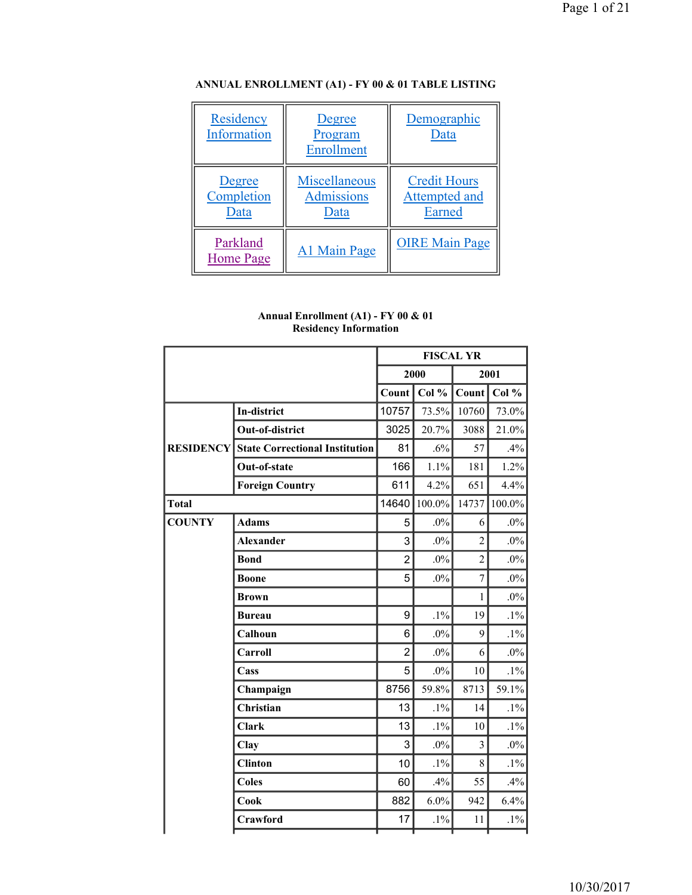| Residency<br>Information     | Degree<br>Program<br><b>Enrollment</b>     | Demographic<br>Data                            |
|------------------------------|--------------------------------------------|------------------------------------------------|
| Degree<br>Completion<br>Data | Miscellaneous<br><b>Admissions</b><br>Data | <b>Credit Hours</b><br>Attempted and<br>Earned |
| Parkland<br><b>Home Page</b> | A1 Main Page                               | <b>OIRE Main Page</b>                          |

# **ANNUAL ENROLLMENT (A1) - FY 00 & 01 TABLE LISTING**

| Annual Enrollment (A1) - FY 00 & 01 |  |
|-------------------------------------|--|
| <b>Residency Information</b>        |  |

|                  |                                       | <b>FISCAL YR</b> |               |                |        |
|------------------|---------------------------------------|------------------|---------------|----------------|--------|
|                  |                                       |                  | 2000          |                | 2001   |
|                  |                                       |                  | Count   Col % | Count          | Col %  |
|                  | <b>In-district</b>                    | 10757            | 73.5%         | 10760          | 73.0%  |
|                  | Out-of-district                       | 3025             | 20.7%         | 3088           | 21.0%  |
| <b>RESIDENCY</b> | <b>State Correctional Institution</b> | 81               | $.6\%$        | 57             | .4%    |
|                  | Out-of-state                          | 166              | 1.1%          | 181            | 1.2%   |
|                  | <b>Foreign Country</b>                | 611              | 4.2%          | 651            | 4.4%   |
| <b>Total</b>     |                                       | 14640            | 100.0%        | 14737          | 100.0% |
| <b>COUNTY</b>    | <b>Adams</b>                          | 5                | $.0\%$        | 6              | $.0\%$ |
|                  | <b>Alexander</b>                      | 3                | $.0\%$        | $\overline{2}$ | $.0\%$ |
|                  | <b>Bond</b>                           | $\overline{2}$   | $.0\%$        | $\overline{2}$ | $.0\%$ |
|                  | <b>Boone</b>                          | 5                | $.0\%$        | $\overline{7}$ | $.0\%$ |
|                  | <b>Brown</b>                          |                  |               | 1              | $.0\%$ |
|                  | <b>Bureau</b>                         | 9                | $.1\%$        | 19             | $.1\%$ |
|                  | Calhoun                               | 6                | $.0\%$        | 9              | $.1\%$ |
|                  | Carroll                               | $\overline{2}$   | $.0\%$        | 6              | $.0\%$ |
|                  | Cass                                  | 5                | $.0\%$        | 10             | $.1\%$ |
|                  | Champaign                             | 8756             | 59.8%         | 8713           | 59.1%  |
|                  | Christian                             | 13               | $.1\%$        | 14             | $.1\%$ |
|                  | <b>Clark</b>                          | 13               | $.1\%$        | 10             | $.1\%$ |
|                  | Clay                                  | 3                | $.0\%$        | $\overline{3}$ | $.0\%$ |
|                  | <b>Clinton</b>                        | 10               | $.1\%$        | 8              | $.1\%$ |
|                  | <b>Coles</b>                          | 60               | .4%           | 55             | .4%    |
|                  | Cook                                  | 882              | $6.0\%$       | 942            | 6.4%   |
|                  | Crawford                              | 17               | $.1\%$        | 11             | $.1\%$ |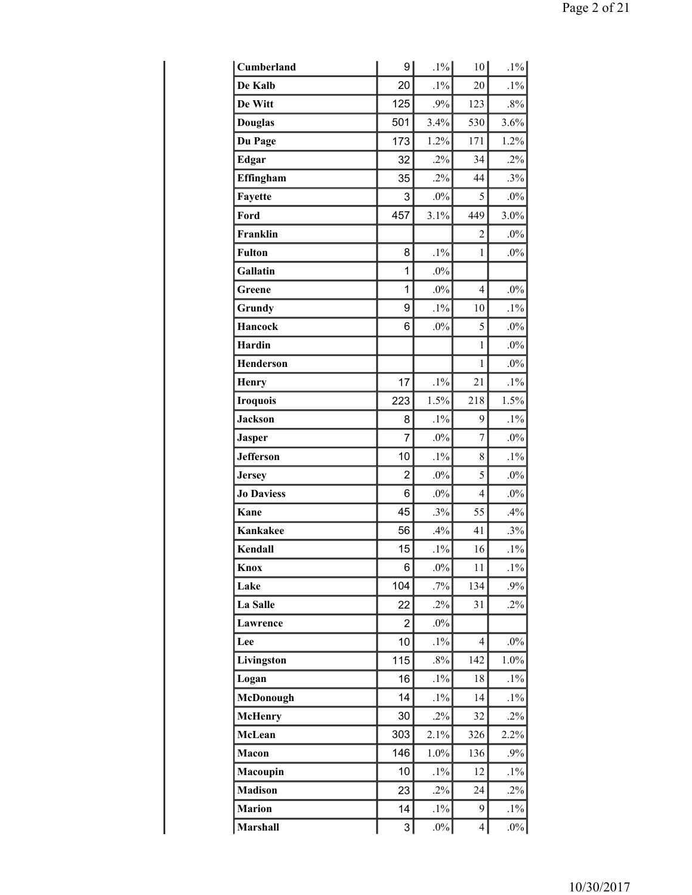| Cumberland        | 9              | $.1\%$ | 10 <sup>1</sup> | $.1\%$ |
|-------------------|----------------|--------|-----------------|--------|
| De Kalb           | 20             | $.1\%$ | 20              | $.1\%$ |
| De Witt           | 125            | .9%    | 123             | $.8\%$ |
| <b>Douglas</b>    | 501            | 3.4%   | 530             | 3.6%   |
| Du Page           | 173            | 1.2%   | 171             | 1.2%   |
| Edgar             | 32             | $.2\%$ | 34              | $.2\%$ |
| Effingham         | 35             | $.2\%$ | 44              | .3%    |
| Fayette           | 3              | $.0\%$ | 5               | $.0\%$ |
| Ford              | 457            | 3.1%   | 449             | 3.0%   |
| Franklin          |                |        | $\overline{2}$  | $.0\%$ |
| <b>Fulton</b>     | 8              | $.1\%$ | $\mathbf{1}$    | $.0\%$ |
| Gallatin          | 1              | $.0\%$ |                 |        |
| Greene            | 1              | $.0\%$ | $\overline{4}$  | $.0\%$ |
| Grundy            | 9              | $.1\%$ | 10              | $.1\%$ |
| <b>Hancock</b>    | 6              | $.0\%$ | 5               | $.0\%$ |
| <b>Hardin</b>     |                |        | $\mathbf{1}$    | $.0\%$ |
| <b>Henderson</b>  |                |        | $\mathbf{1}$    | $.0\%$ |
| Henry             | 17             | $.1\%$ | 21              | $.1\%$ |
| <b>Iroquois</b>   | 223            | 1.5%   | 218             | 1.5%   |
| <b>Jackson</b>    | 8              | $.1\%$ | 9               | $.1\%$ |
| <b>Jasper</b>     | $\overline{7}$ | $.0\%$ | $\overline{7}$  | $.0\%$ |
| <b>Jefferson</b>  | 10             | $.1\%$ | 8               | $.1\%$ |
| <b>Jersey</b>     | $\overline{2}$ | $.0\%$ | 5               | $.0\%$ |
| <b>Jo Daviess</b> | 6              | $.0\%$ | $\overline{4}$  | $.0\%$ |
| Kane              | 45             | .3%    | 55              | .4%    |
| <b>Kankakee</b>   | 56             | .4%    | 41              | .3%    |
| Kendall           | 15             | $.1\%$ | 16              | $.1\%$ |
| Knox              | $\,6$          | $.0\%$ | 11              | $.1\%$ |
| Lake              | 104            | $.7\%$ | 134             | .9%    |
| La Salle          | 22             | $.2\%$ | 31              | $.2\%$ |
| Lawrence          | 2              | $.0\%$ |                 |        |
| Lee               | 10             | $.1\%$ | $\overline{4}$  | $.0\%$ |
| Livingston        | 115            | $.8\%$ | 142             | 1.0%   |
| Logan             | 16             | $.1\%$ | 18              | $.1\%$ |
| McDonough         | 14             | $.1\%$ | 14              | $.1\%$ |
| <b>McHenry</b>    | 30             | $.2\%$ | 32              | $.2\%$ |
| McLean            | 303            | 2.1%   | 326             | 2.2%   |
| Macon             | 146            | 1.0%   | 136             | .9%    |
| Macoupin          | 10             | $.1\%$ | 12              | $.1\%$ |
| <b>Madison</b>    | 23             | $.2\%$ | 24              | $.2\%$ |
| <b>Marion</b>     | 14             | $.1\%$ | 9               | $.1\%$ |
| <b>Marshall</b>   | 3              | $.0\%$ | $\overline{4}$  | $.0\%$ |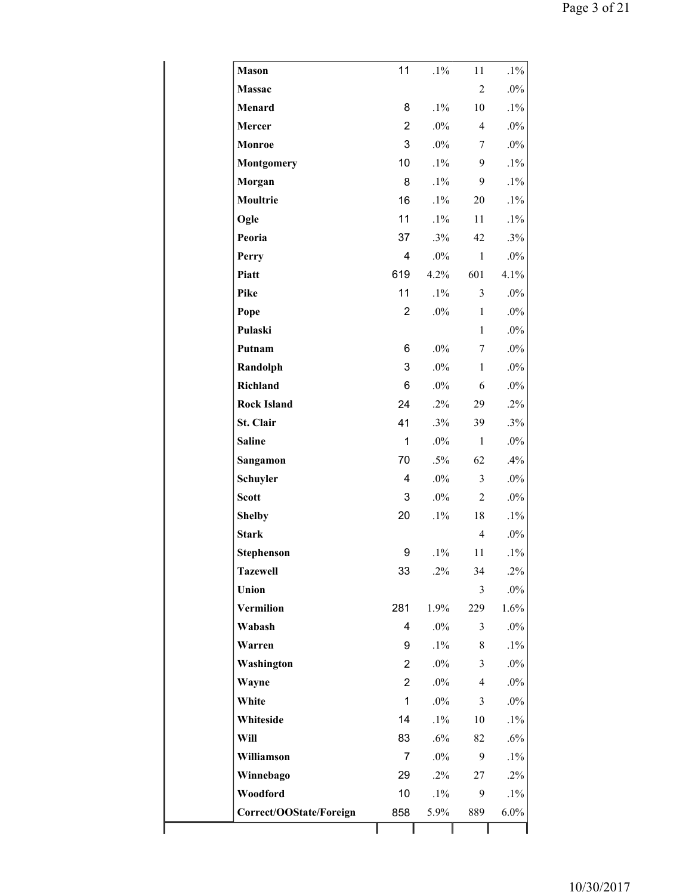| <b>Mason</b>            | 11             | $.1\%$ | 11             | $.1\%$ |
|-------------------------|----------------|--------|----------------|--------|
| <b>Massac</b>           |                |        | $\overline{2}$ | $.0\%$ |
| Menard                  | 8              | $.1\%$ | 10             | $.1\%$ |
| Mercer                  | $\overline{2}$ | $.0\%$ | $\overline{4}$ | $.0\%$ |
| Monroe                  | 3              | .0%    | 7              | $.0\%$ |
| Montgomery              | 10             | $.1\%$ | 9              | $.1\%$ |
| Morgan                  | 8              | $.1\%$ | 9              | $.1\%$ |
| Moultrie                | 16             | $.1\%$ | 20             | $.1\%$ |
| Ogle                    | 11             | $.1\%$ | 11             | $.1\%$ |
| Peoria                  | 37             | .3%    | 42             | .3%    |
| Perry                   | 4              | $.0\%$ | $\mathbf{1}$   | $.0\%$ |
| Piatt                   | 619            | 4.2%   | 601            | 4.1%   |
| <b>Pike</b>             | 11             | $.1\%$ | $\mathfrak{Z}$ | $.0\%$ |
| Pope                    | $\overline{2}$ | $.0\%$ | $\mathbf{1}$   | $.0\%$ |
| Pulaski                 |                |        | $\mathbf{1}$   | $.0\%$ |
| Putnam                  | 6              | $.0\%$ | 7              | $.0\%$ |
| Randolph                | 3              | $.0\%$ | $\mathbf{1}$   | $.0\%$ |
| Richland                | 6              | $.0\%$ | 6              | $.0\%$ |
| <b>Rock Island</b>      | 24             | $.2\%$ | 29             | $.2\%$ |
| St. Clair               | 41             | .3%    | 39             | .3%    |
| <b>Saline</b>           | $\mathbf{1}$   | $.0\%$ | $\mathbf{1}$   | $.0\%$ |
| Sangamon                | 70             | $.5\%$ | 62             | .4%    |
| Schuyler                | 4              | $.0\%$ | $\overline{3}$ | $.0\%$ |
| <b>Scott</b>            | 3              | .0%    | $\overline{2}$ | $.0\%$ |
| <b>Shelby</b>           | 20             | $.1\%$ | 18             | $.1\%$ |
| <b>Stark</b>            |                |        | $\overline{4}$ | $.0\%$ |
| <b>Stephenson</b>       | 9              | $.1\%$ | 11             | $.1\%$ |
| <b>Tazewell</b>         | 33             | $.2\%$ | 34             | $.2\%$ |
| Union                   |                |        | 3              | $.0\%$ |
| Vermilion               | 281            | 1.9%   | 229            | 1.6%   |
| Wabash                  | 4              | $.0\%$ | 3              | $.0\%$ |
| Warren                  | 9              | $.1\%$ | 8              | $.1\%$ |
| Washington              | $\overline{2}$ | $.0\%$ | 3              | $.0\%$ |
| Wayne                   | $\overline{2}$ | $.0\%$ | $\overline{4}$ | $.0\%$ |
| White                   | $\mathbf{1}$   | $.0\%$ | 3              | $.0\%$ |
| Whiteside               | 14             | $.1\%$ | 10             | $.1\%$ |
| Will                    | 83             | .6%    | 82             | .6%    |
| Williamson              | $\overline{7}$ | $.0\%$ | 9              | $.1\%$ |
| Winnebago               | 29             | $.2\%$ | 27             | $.2\%$ |
| Woodford                | 10             | $.1\%$ | 9              | $.1\%$ |
| Correct/OOState/Foreign | 858            | 5.9%   | 889            | 6.0%   |
|                         |                |        |                |        |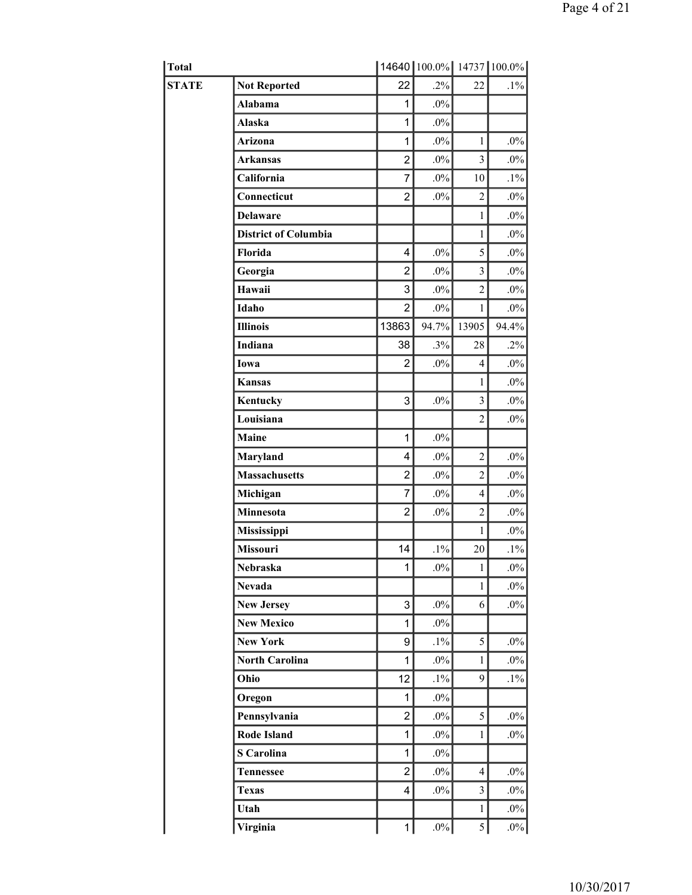| Total        |                             |                | 14640 100.0% 14737 100.0% |                          |        |
|--------------|-----------------------------|----------------|---------------------------|--------------------------|--------|
| <b>STATE</b> | <b>Not Reported</b>         | 22             | $.2\%$                    | 22                       | $.1\%$ |
|              | <b>Alabama</b>              | 1              | $.0\%$                    |                          |        |
|              | Alaska                      | 1              | $.0\%$                    |                          |        |
|              | Arizona                     | 1              | $.0\%$                    | $\mathbf{1}$             | $.0\%$ |
|              | <b>Arkansas</b>             | $\overline{2}$ | $.0\%$                    | $\overline{3}$           | $.0\%$ |
|              | California                  | $\overline{7}$ | $.0\%$                    | 10                       | $.1\%$ |
|              | Connecticut                 | $\overline{2}$ | $.0\%$                    | $\overline{2}$           | $.0\%$ |
|              | <b>Delaware</b>             |                |                           | $\mathbf{1}$             | $.0\%$ |
|              | <b>District of Columbia</b> |                |                           | $\mathbf{1}$             | $.0\%$ |
|              | Florida                     | 4              | $.0\%$                    | 5                        | $.0\%$ |
|              | Georgia                     | $\overline{2}$ | $.0\%$                    | 3                        | $.0\%$ |
|              | Hawaii                      | 3              | $.0\%$                    | $\overline{2}$           | $.0\%$ |
|              | Idaho                       | $\overline{2}$ | $.0\%$                    | $\mathbf{1}$             | $.0\%$ |
|              | <b>Illinois</b>             | 13863          | 94.7%                     | 13905                    | 94.4%  |
|              | Indiana                     | 38             | .3%                       | 28                       | $.2\%$ |
|              | Iowa                        | 2              | $.0\%$                    | $\overline{4}$           | $.0\%$ |
|              | <b>Kansas</b>               |                |                           | $\mathbf{1}$             | $.0\%$ |
|              | Kentucky                    | 3              | $.0\%$                    | $\overline{\mathbf{3}}$  | $.0\%$ |
|              | Louisiana                   |                |                           | $\overline{2}$           | $.0\%$ |
|              | Maine                       | $\mathbf{1}$   | $.0\%$                    |                          |        |
|              | Maryland                    | 4              | $.0\%$                    | $\overline{2}$           | $.0\%$ |
|              | <b>Massachusetts</b>        | $\overline{2}$ | $.0\%$                    | $\overline{2}$           | $.0\%$ |
|              | Michigan                    | $\overline{7}$ | $.0\%$                    | $\overline{\mathcal{L}}$ | $.0\%$ |
|              | Minnesota                   | $\overline{2}$ | $.0\%$                    | $\overline{2}$           | $.0\%$ |
|              | Mississippi                 |                |                           | $\mathbf{1}$             | $.0\%$ |
|              | Missouri                    | 14             | $.1\%$                    | 20                       | $.1\%$ |
|              | <b>Nebraska</b>             | 1              | $.0\%$                    | $\mathbf{1}$             | $.0\%$ |
|              | <b>Nevada</b>               |                |                           | $\mathbf{1}$             | $.0\%$ |
|              | <b>New Jersey</b>           | 3              | $.0\%$                    | 6                        | $.0\%$ |
|              | <b>New Mexico</b>           | 1              | $.0\%$                    |                          |        |
|              | <b>New York</b>             | 9              | $.1\%$                    | 5                        | $.0\%$ |
|              | <b>North Carolina</b>       | 1              | $.0\%$                    | $\mathbf{1}$             | $.0\%$ |
|              | Ohio                        | 12             | $.1\%$                    | 9                        | $.1\%$ |
|              | Oregon                      | 1              | $.0\%$                    |                          |        |
|              | Pennsylvania                | $\overline{2}$ | $.0\%$                    | 5                        | $.0\%$ |
|              | Rode Island                 | 1              | $.0\%$                    | $\mathbf{1}$             | $.0\%$ |
|              | <b>S</b> Carolina           | 1              | $.0\%$                    |                          |        |
|              | <b>Tennessee</b>            | $\overline{2}$ | $.0\%$                    | $\overline{4}$           | $.0\%$ |
|              | <b>Texas</b>                | 4              | $.0\%$                    | $\overline{\mathbf{3}}$  | $.0\%$ |
|              | Utah                        |                |                           | $\mathbf{1}$             | $.0\%$ |
|              | Virginia                    | 1              | $.0\%$                    | $\mathfrak{S}$           | $.0\%$ |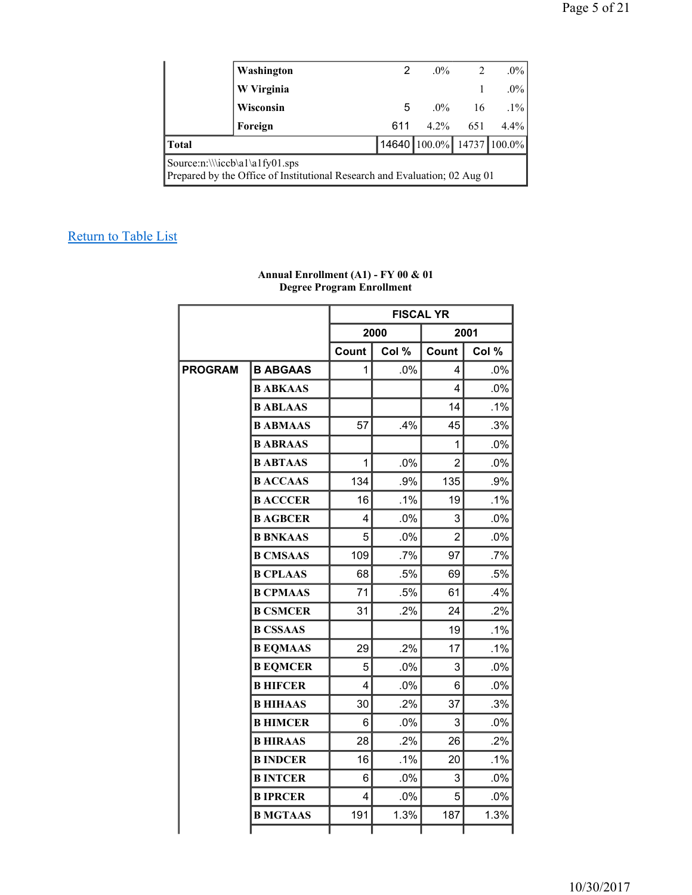|                                                                                                              | Washington | 2   |                           | $.0\%$<br>2 | $.0\%$  |  |  |
|--------------------------------------------------------------------------------------------------------------|------------|-----|---------------------------|-------------|---------|--|--|
|                                                                                                              | W Virginia |     |                           |             | $.0\%$  |  |  |
|                                                                                                              | Wisconsin  | 5   |                           | $.0\%$ 16   | $.1\%$  |  |  |
|                                                                                                              | Foreign    | 611 | $4.2\%$                   | 651         | $4.4\%$ |  |  |
| <b>Total</b>                                                                                                 |            |     | 14640 100.0% 14737 100.0% |             |         |  |  |
| Source:n:\\\iccb\a1\a1fy01.sps<br>Prepared by the Office of Institutional Research and Evaluation; 02 Aug 01 |            |     |                           |             |         |  |  |

|                |                 | <b>FISCAL YR</b> |        |                |        |  |
|----------------|-----------------|------------------|--------|----------------|--------|--|
|                |                 |                  | 2000   |                | 2001   |  |
|                |                 | Count            | Col %  | Count          | Col %  |  |
| <b>PROGRAM</b> | <b>B ABGAAS</b> | 1                | .0%    | 4              | .0%    |  |
|                | <b>BABKAAS</b>  |                  |        | 4              | $.0\%$ |  |
|                | <b>BABLAAS</b>  |                  |        | 14             | .1%    |  |
|                | <b>B ABMAAS</b> | 57               | .4%    | 45             | .3%    |  |
|                | <b>BABRAAS</b>  |                  |        | 1              | .0%    |  |
|                | <b>BABTAAS</b>  | 1                | .0%    | $\overline{2}$ | .0%    |  |
|                | <b>BACCAAS</b>  | 134              | .9%    | 135            | .9%    |  |
|                | <b>B ACCCER</b> | 16               | $.1\%$ | 19             | .1%    |  |
|                | <b>B AGBCER</b> | 4                | .0%    | 3              | .0%    |  |
|                | <b>B BNKAAS</b> | 5                | .0%    | $\overline{2}$ | .0%    |  |
|                | <b>B CMSAAS</b> | 109              | $.7\%$ | 97             | $.7\%$ |  |
|                | <b>B CPLAAS</b> | 68               | .5%    | 69             | .5%    |  |
|                | <b>B CPMAAS</b> | 71               | .5%    | 61             | .4%    |  |
|                | <b>B CSMCER</b> | 31               | .2%    | 24             | .2%    |  |
|                | <b>B CSSAAS</b> |                  |        | 19             | $.1\%$ |  |
|                | <b>B EQMAAS</b> | 29               | .2%    | 17             | .1%    |  |
|                | <b>B EQMCER</b> | 5                | .0%    | 3              | .0%    |  |
|                | <b>B HIFCER</b> | 4                | .0%    | 6              | .0%    |  |
|                | <b>B HIHAAS</b> | 30               | .2%    | 37             | .3%    |  |
|                | <b>B HIMCER</b> | 6                | .0%    | 3              | .0%    |  |
|                | <b>B HIRAAS</b> | 28               | .2%    | 26             | .2%    |  |
|                | <b>B INDCER</b> | 16               | .1%    | 20             | .1%    |  |
|                | <b>BINTCER</b>  | 6                | .0%    | 3              | .0%    |  |
|                | <b>BIPRCER</b>  | 4                | .0%    | 5              | .0%    |  |
|                | <b>B MGTAAS</b> | 191              | 1.3%   | 187            | 1.3%   |  |
|                |                 |                  |        |                |        |  |

#### **Annual Enrollment (A1) - FY 00 & 01 Degree Program Enrollment**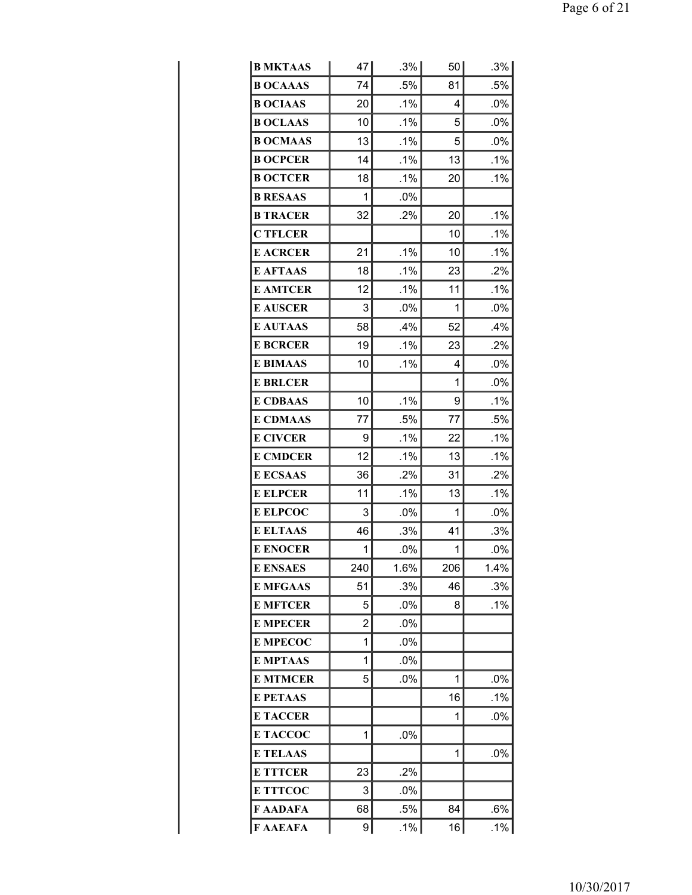| <b>B MKTAAS</b> | 47  | .3%    | 50  | .3%    |
|-----------------|-----|--------|-----|--------|
| <b>B OCAAAS</b> | 74  | .5%    | 81  | .5%    |
| <b>B OCIAAS</b> | 20  | .1%    | 4   | .0%    |
| <b>B OCLAAS</b> | 10  | $.1\%$ | 5   | .0%    |
| <b>B OCMAAS</b> | 13  | .1%    | 5   | .0%    |
| <b>B OCPCER</b> | 14  | .1%    | 13  | .1%    |
| <b>B OCTCER</b> | 18  | .1%    | 20  | .1%    |
| <b>B RESAAS</b> | 1   | .0%    |     |        |
| <b>B TRACER</b> | 32  | .2%    | 20  | .1%    |
| <b>C TFLCER</b> |     |        | 10  | $.1\%$ |
| <b>E ACRCER</b> | 21  | .1%    | 10  | .1%    |
| <b>E AFTAAS</b> | 18  | .1%    | 23  | .2%    |
| <b>E AMTCER</b> | 12  | .1%    | 11  | .1%    |
| <b>E AUSCER</b> | 3   | .0%    | 1   | .0%    |
| <b>E AUTAAS</b> | 58  | .4%    | 52  | $.4\%$ |
| <b>E BCRCER</b> | 19  | .1%    | 23  | .2%    |
| <b>E BIMAAS</b> | 10  | .1%    | 4   | .0%    |
| <b>E BRLCER</b> |     |        | 1   | .0%    |
| <b>E CDBAAS</b> | 10  | .1%    | 9   | .1%    |
| <b>E CDMAAS</b> | 77  | .5%    | 77  | .5%    |
| <b>E CIVCER</b> | 9   | .1%    | 22  | .1%    |
| <b>E CMDCER</b> | 12  | .1%    | 13  | .1%    |
| <b>E ECSAAS</b> | 36  | .2%    | 31  | .2%    |
| <b>E ELPCER</b> | 11  | .1%    | 13  | .1%    |
| <b>E ELPCOC</b> | 3   | $.0\%$ | 1   | $.0\%$ |
| <b>E ELTAAS</b> | 46  | .3%    | 41  | .3%    |
| <b>E ENOCER</b> | 1   | .0%    | 1   | .0%    |
| <b>E ENSAES</b> | 240 | 1.6%   | 206 | 1.4%   |
| <b>E MFGAAS</b> | 51  | .3%    | 46  | .3%    |
| <b>E MFTCER</b> | 5   | .0%    | 8   | .1%    |
| <b>E MPECER</b> | 2   | $.0\%$ |     |        |
| <b>E MPECOC</b> | 1   | .0%    |     |        |
| <b>E MPTAAS</b> | 1   | .0%    |     |        |
| <b>E MTMCER</b> | 5   | .0%    | 1   | .0%    |
| <b>E PETAAS</b> |     |        | 16  | $.1\%$ |
| <b>E TACCER</b> |     |        | 1   | $.0\%$ |
| E TACCOC        | 1   | .0%    |     |        |
| <b>E TELAAS</b> |     |        | 1   | .0%    |
| <b>E TTTCER</b> | 23  | .2%    |     |        |
| <b>E TTTCOC</b> | 3   | .0%    |     |        |
| F AADAFA        | 68  | .5%    | 84  | .6%    |
| F AAEAFA        | 9   | .1%    | 16  | .1%    |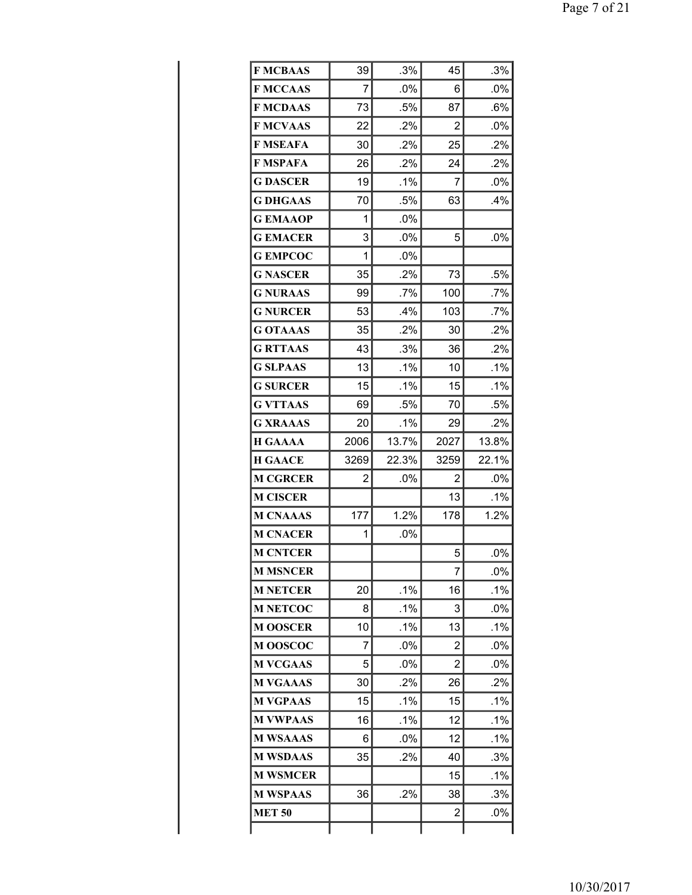| <b>F MCBAAS</b> | 39   | .3%    | 45   | .3%    |
|-----------------|------|--------|------|--------|
| <b>F MCCAAS</b> | 7    | .0%    | 6    | .0%    |
| <b>F MCDAAS</b> | 73   | .5%    | 87   | .6%    |
| <b>F MCVAAS</b> | 22   | .2%    | 2    | .0%    |
| <b>F MSEAFA</b> | 30   | .2%    | 25   | .2%    |
| <b>F MSPAFA</b> | 26   | .2%    | 24   | .2%    |
| <b>G DASCER</b> | 19   | .1%    | 7    | $.0\%$ |
| <b>G DHGAAS</b> | 70   | .5%    | 63   | .4%    |
| <b>GEMAAOP</b>  | 1    | .0%    |      |        |
| <b>GEMACER</b>  | 3    | .0%    | 5    | .0%    |
| <b>G EMPCOC</b> | 1    | $.0\%$ |      |        |
| <b>G NASCER</b> | 35   | .2%    | 73   | .5%    |
| <b>G NURAAS</b> | 99   | $.7\%$ | 100  | .7%    |
| <b>G NURCER</b> | 53   | $.4\%$ | 103  | .7%    |
| <b>G OTAAAS</b> | 35   | $.2\%$ | 30   | .2%    |
| <b>G RTTAAS</b> | 43   | .3%    | 36   | $.2\%$ |
| <b>G SLPAAS</b> | 13   | .1%    | 10   | .1%    |
| <b>G SURCER</b> | 15   | $.1\%$ | 15   | .1%    |
| <b>G VTTAAS</b> | 69   | .5%    | 70   | .5%    |
| <b>G XRAAAS</b> | 20   | .1%    | 29   | .2%    |
| <b>H GAAAA</b>  | 2006 | 13.7%  | 2027 | 13.8%  |
| <b>H GAACE</b>  | 3269 | 22.3%  | 3259 | 22.1%  |
| <b>M CGRCER</b> | 2    | .0%    | 2    | .0%    |
| <b>M CISCER</b> |      |        | 13   | .1%    |
| <b>M CNAAAS</b> | 177  | 1.2%   | 178  | 1.2%   |
| <b>M CNACER</b> | 1    | .0%    |      |        |
| <b>M CNTCER</b> |      |        | 5    | .0%    |
| <b>M MSNCER</b> |      |        | 7    | .0%    |
| <b>M NETCER</b> | 20   | .1%    | 16   | .1%    |
| <b>M NETCOC</b> | 8    | .1%    | 3    | .0%    |
| <b>M OOSCER</b> | 10   | $.1\%$ | 13   | .1%    |
| <b>MOOSCOC</b>  | 7    | .0%    | 2    | .0%    |
| <b>M VCGAAS</b> | 5    | $.0\%$ | 2    | $.0\%$ |
| <b>M VGAAAS</b> | 30   | $.2\%$ | 26   | .2%    |
| <b>M VGPAAS</b> | 15   | .1%    | 15   | $.1\%$ |
| <b>M VWPAAS</b> | 16   | .1%    | 12   | .1%    |
| <b>M WSAAAS</b> | 6    | $.0\%$ | 12   | .1%    |
| <b>M WSDAAS</b> | 35   | .2%    | 40   | .3%    |
| <b>M WSMCER</b> |      |        | 15   | $.1\%$ |
| <b>M WSPAAS</b> | 36   | .2%    | 38   | .3%    |
| <b>MET 50</b>   |      |        | 2    | .0%    |
|                 |      |        |      |        |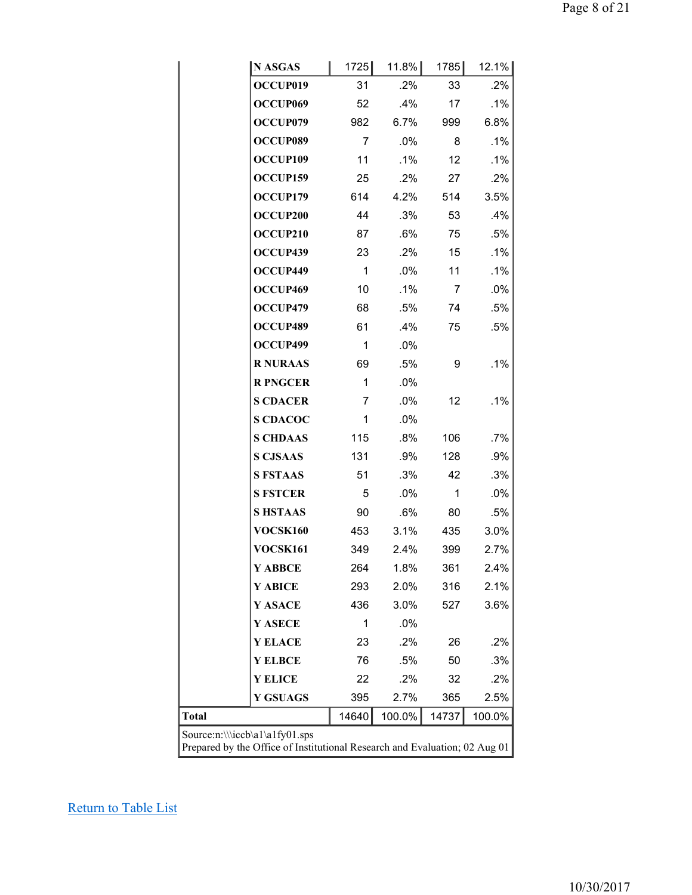| N ASGAS                                                                    |  | 1725         | $11.8\%$ | 1785  | 12.1%  |  |
|----------------------------------------------------------------------------|--|--------------|----------|-------|--------|--|
| OCCUP019                                                                   |  | 31           | .2%      | 33    | .2%    |  |
| OCCUP069                                                                   |  | 52           | .4%      | 17    | .1%    |  |
| OCCUP079                                                                   |  | 982          | 6.7%     | 999   | 6.8%   |  |
| OCCUP089                                                                   |  | 7            | .0%      | 8     | .1%    |  |
| OCCUP109                                                                   |  | 11           | .1%      | 12    | .1%    |  |
| OCCUP159                                                                   |  | 25           | .2%      | 27    | .2%    |  |
| OCCUP179                                                                   |  | 614          | 4.2%     | 514   | 3.5%   |  |
| OCCUP200                                                                   |  | 44           | .3%      | 53    | .4%    |  |
| OCCUP210                                                                   |  | 87           | .6%      | 75    | .5%    |  |
| OCCUP439                                                                   |  | 23           | $.2\%$   | 15    | .1%    |  |
| OCCUP449                                                                   |  | $\mathbf{1}$ | .0%      | 11    | .1%    |  |
| OCCUP469                                                                   |  | 10           | .1%      | 7     | .0%    |  |
| OCCUP479                                                                   |  | 68           | .5%      | 74    | .5%    |  |
| OCCUP489                                                                   |  | 61           | .4%      | 75    | .5%    |  |
| OCCUP499                                                                   |  | 1            | .0%      |       |        |  |
| <b>R NURAAS</b>                                                            |  | 69           | .5%      | 9     | .1%    |  |
| <b>R PNGCER</b>                                                            |  | 1            | .0%      |       |        |  |
| <b>S CDACER</b>                                                            |  | 7            | .0%      | 12    | .1%    |  |
| <b>S CDACOC</b>                                                            |  | 1            | .0%      |       |        |  |
| <b>S CHDAAS</b>                                                            |  | 115          | .8%      | 106   | .7%    |  |
| <b>S CJSAAS</b>                                                            |  | 131          | .9%      | 128   | .9%    |  |
| <b>S FSTAAS</b>                                                            |  | 51           | .3%      | 42    | .3%    |  |
| <b>S FSTCER</b>                                                            |  | 5            | .0%      | 1     | .0%    |  |
| <b>SHSTAAS</b>                                                             |  | 90           | .6%      | 80    | .5%    |  |
| VOCSK160                                                                   |  | 453          | 3.1%     | 435   | 3.0%   |  |
| <b>VOCSK161</b>                                                            |  | 349          | 2.4%     | 399   | 2.7%   |  |
| Y ABBCE                                                                    |  | 264          | 1.8%     | 361   | 2.4%   |  |
| Y ABICE                                                                    |  | 293          | 2.0%     | 316   | 2.1%   |  |
| Y ASACE                                                                    |  | 436          | 3.0%     | 527   | 3.6%   |  |
| Y ASECE                                                                    |  | 1            | .0%      |       |        |  |
| <b>Y ELACE</b>                                                             |  | 23           | .2%      | 26    | .2%    |  |
| <b>Y ELBCE</b>                                                             |  | 76           | .5%      | 50    | .3%    |  |
| <b>Y ELICE</b>                                                             |  | 22           | .2%      | 32    | .2%    |  |
| <b>Y GSUAGS</b>                                                            |  | 395          | 2.7%     | 365   | 2.5%   |  |
| <b>Total</b>                                                               |  | 14640        | 100.0%   | 14737 | 100.0% |  |
| Source:n:\\\iccb\a1\a1fy01.sps                                             |  |              |          |       |        |  |
| Prepared by the Office of Institutional Research and Evaluation; 02 Aug 01 |  |              |          |       |        |  |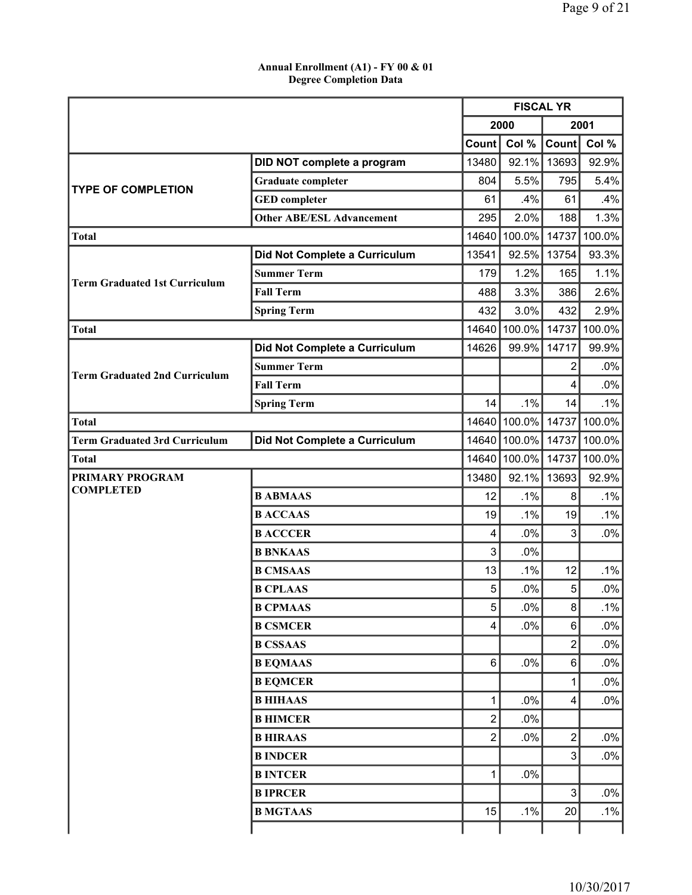### **Annual Enrollment (A1) - FY 00 & 01 Degree Completion Data**

|                                      |                                  | <b>FISCAL YR</b> |              |                |        |
|--------------------------------------|----------------------------------|------------------|--------------|----------------|--------|
|                                      |                                  |                  | 2000         |                | 2001   |
|                                      |                                  | Count            | Col %        | Count          | Col %  |
|                                      | DID NOT complete a program       | 13480            | 92.1%        | 13693          | 92.9%  |
| <b>TYPE OF COMPLETION</b>            | <b>Graduate completer</b>        | 804              | 5.5%         | 795            | 5.4%   |
|                                      | <b>GED</b> completer             | 61               | .4%          | 61             | .4%    |
|                                      | <b>Other ABE/ESL Advancement</b> | 295              | 2.0%         | 188            | 1.3%   |
| <b>Total</b>                         |                                  | 14640            | 100.0%       | 14737          | 100.0% |
|                                      | Did Not Complete a Curriculum    | 13541            | 92.5%        | 13754          | 93.3%  |
| <b>Term Graduated 1st Curriculum</b> | <b>Summer Term</b>               | 179              | 1.2%         | 165            | 1.1%   |
|                                      | <b>Fall Term</b>                 | 488              | 3.3%         | 386            | 2.6%   |
|                                      | <b>Spring Term</b>               | 432              | 3.0%         | 432            | 2.9%   |
| <b>Total</b>                         |                                  | 14640            | 100.0%       | 14737          | 100.0% |
|                                      | Did Not Complete a Curriculum    | 14626            | 99.9%        | 14717          | 99.9%  |
| <b>Term Graduated 2nd Curriculum</b> | <b>Summer Term</b>               |                  |              | 2              | .0%    |
|                                      | <b>Fall Term</b>                 |                  |              | 4              | .0%    |
|                                      | <b>Spring Term</b>               | 14               | .1%          | 14             | .1%    |
| <b>Total</b>                         |                                  |                  | 14640 100.0% | 14737          | 100.0% |
| <b>Term Graduated 3rd Curriculum</b> | Did Not Complete a Curriculum    |                  | 14640 100.0% | 14737          | 100.0% |
| <b>Total</b>                         |                                  | 14640            | 100.0%       | 14737          | 100.0% |
| <b>PRIMARY PROGRAM</b>               |                                  | 13480            | 92.1%        | 13693          | 92.9%  |
| <b>COMPLETED</b>                     | <b>B ABMAAS</b>                  | 12               | .1%          | 8              | .1%    |
|                                      | <b>B ACCAAS</b>                  | 19               | .1%          | 19             | .1%    |
|                                      | <b>B ACCCER</b>                  | 4                | .0%          | 3              | .0%    |
|                                      | <b>B BNKAAS</b>                  | 3                | .0%          |                |        |
|                                      | <b>B CMSAAS</b>                  | 13               | .1%          | 12             | .1%    |
|                                      | <b>B CPLAAS</b>                  | 5                | .0%          | 5              | .0%    |
|                                      | <b>B CPMAAS</b>                  | 5                | $.0\%$       | 8              | .1%    |
|                                      | <b>B CSMCER</b>                  | 4                | .0%          | 6              | .0%    |
|                                      | <b>B CSSAAS</b>                  |                  |              | $\overline{c}$ | .0%    |
|                                      | <b>B EQMAAS</b>                  | 6                | .0%          | 6              | .0%    |
|                                      | <b>B EQMCER</b>                  |                  |              | 1              | .0%    |
|                                      | <b>B HIHAAS</b>                  | 1                | .0%          | 4              | .0%    |
|                                      | <b>B HIMCER</b>                  | $\overline{c}$   | .0%          |                |        |
|                                      | <b>B HIRAAS</b>                  | 2                | .0%          | 2              | .0%    |
|                                      | <b>B INDCER</b>                  |                  |              | 3              | $.0\%$ |
|                                      | <b>BINTCER</b>                   | 1                | .0%          |                |        |
|                                      | <b>BIPRCER</b>                   |                  |              | 3              | .0%    |
|                                      | <b>B MGTAAS</b>                  | 15               | .1%          | 20             | $.1\%$ |
|                                      |                                  |                  |              |                |        |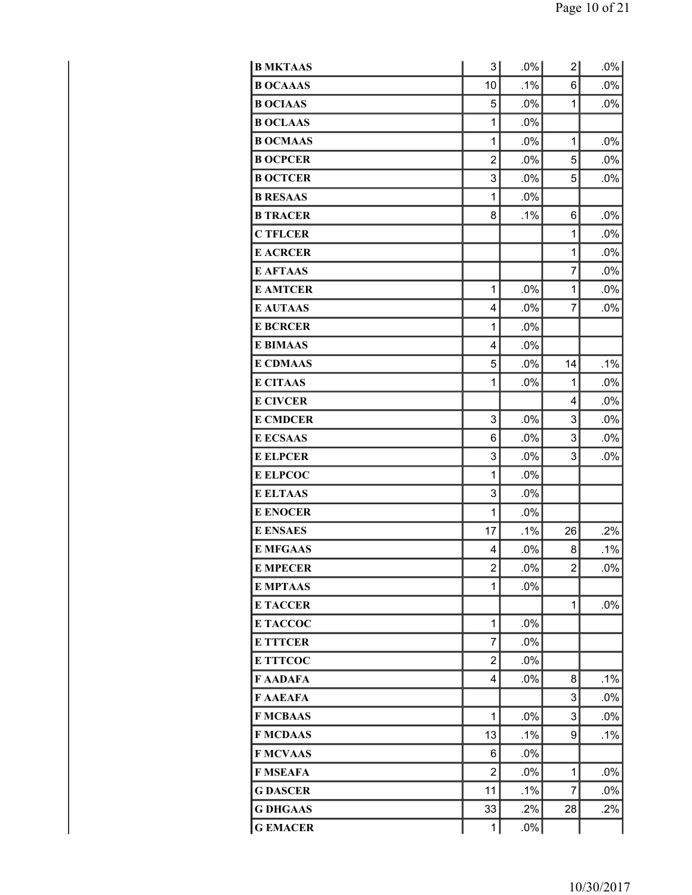| <b>B MKTAAS</b> | 3 <sup>1</sup> | .0%    | 2              | $.0\%$ |
|-----------------|----------------|--------|----------------|--------|
| <b>B OCAAAS</b> | 10             | .1%    | 6              | .0%    |
| <b>B OCIAAS</b> | 5              | .0%    | $\mathbf{1}$   | .0%    |
| <b>B OCLAAS</b> | 1              | .0%    |                |        |
| <b>B OCMAAS</b> | 1              | .0%    | 1              | .0%    |
| <b>B OCPCER</b> | $\overline{2}$ | .0%    | 5              | .0%    |
| <b>B OCTCER</b> | 3              | .0%    | 5              | $.0\%$ |
| <b>B RESAAS</b> | 1              | .0%    |                |        |
| <b>B TRACER</b> | 8              | .1%    | 6              | .0%    |
| <b>C TFLCER</b> |                |        | 1              | .0%    |
| <b>E ACRCER</b> |                |        | 1              | .0%    |
| <b>E AFTAAS</b> |                |        | 7              | .0%    |
| <b>E AMTCER</b> | 1              | .0%    | 1              | .0%    |
| <b>E AUTAAS</b> | 4              | .0%    | 7              | .0%    |
| <b>E BCRCER</b> | 1              | .0%    |                |        |
| <b>E BIMAAS</b> | 4              | .0%    |                |        |
| <b>E CDMAAS</b> | 5              | .0%    | 14             | .1%    |
| <b>E CITAAS</b> | 1              | .0%    | 1              | .0%    |
| <b>E CIVCER</b> |                |        | $\overline{4}$ | .0%    |
| <b>E CMDCER</b> | 3              | .0%    | 3              | .0%    |
| <b>E ECSAAS</b> | 6              | .0%    | 3              | $.0\%$ |
| <b>E ELPCER</b> | 3              | .0%    | 3              | .0%    |
| <b>E ELPCOC</b> | 1              | .0%    |                |        |
| <b>E ELTAAS</b> | 3              | .0%    |                |        |
| <b>E ENOCER</b> | 1              | .0%    |                |        |
| <b>E ENSAES</b> | 17             | .1%    | 26             | .2%    |
| <b>E MFGAAS</b> | 4              | .0%    | 8              | .1%    |
| <b>E MPECER</b> | 2              | .0%    | 2              | .0%    |
| <b>E MPTAAS</b> | 1              | .0%    |                |        |
| <b>E TACCER</b> |                |        | 1              | .0%    |
| E TACCOC        | 1              | .0%    |                |        |
| <b>E TTTCER</b> | 7              | .0%    |                |        |
| <b>E TTTCOC</b> | 2              | .0%    |                |        |
| <b>F AADAFA</b> | 4              | .0%    | 8              | .1%    |
| F AAEAFA        |                |        | 3              | .0%    |
| <b>F MCBAAS</b> | 1              | .0%    | 3              | .0%    |
| <b>F MCDAAS</b> | 13             | .1%    | 9              | .1%    |
| <b>F MCVAAS</b> | 6              | .0%    |                |        |
| F MSEAFA        | $\overline{2}$ | .0%    | 1              | .0%    |
| <b>G DASCER</b> | 11             | .1%    | 7              | .0%    |
| <b>G DHGAAS</b> | 33             | .2%    | 28             | .2%    |
| <b>G EMACER</b> | 1              | $.0\%$ |                |        |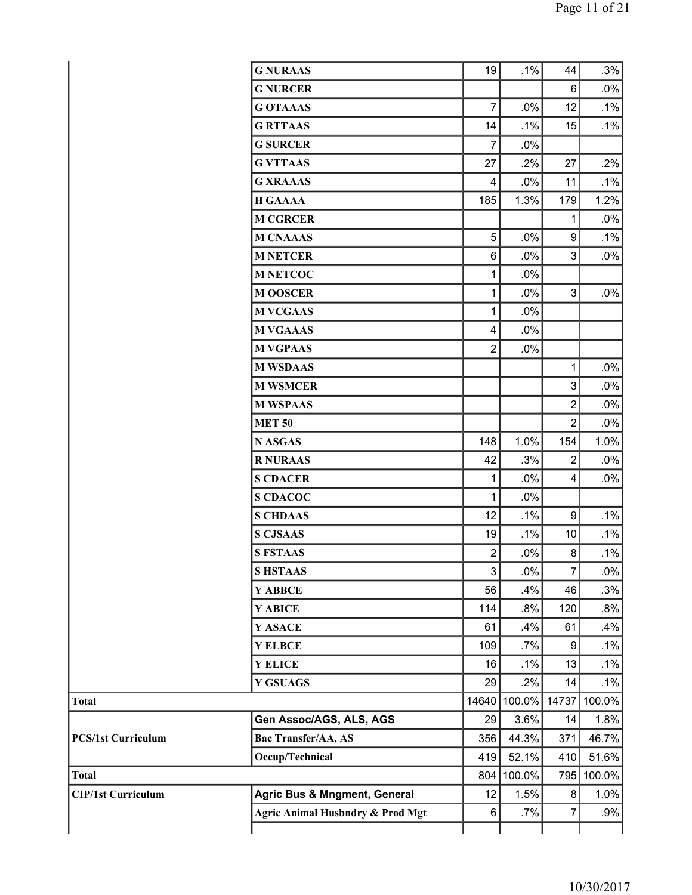|                           | <b>G NURAAS</b>                         | 19                        | .1%    | 44               | .3%        |
|---------------------------|-----------------------------------------|---------------------------|--------|------------------|------------|
|                           | <b>G NURCER</b>                         |                           |        | 6                | $.0\%$     |
|                           | <b>G OTAAAS</b>                         | $\overline{7}$            | .0%    | 12               | $.1\%$     |
|                           | <b>G RTTAAS</b>                         | 14                        | .1%    | 15               | .1%        |
|                           | <b>G SURCER</b>                         | 7                         | .0%    |                  |            |
|                           | <b>G VTTAAS</b>                         | 27                        | .2%    | 27               | .2%        |
|                           | <b>G XRAAAS</b>                         | 4                         | .0%    | 11               | $.1\%$     |
|                           | <b>H GAAAA</b>                          | 185                       | 1.3%   | 179              | 1.2%       |
|                           | <b>M CGRCER</b>                         |                           |        | 1                | .0%        |
|                           | <b>M CNAAAS</b>                         | 5                         | .0%    | 9                | .1%        |
|                           | <b>M NETCER</b>                         | 6                         | .0%    | 3                | .0%        |
|                           | <b>M NETCOC</b>                         | $\mathbf 1$               | .0%    |                  |            |
|                           | <b>M OOSCER</b>                         | $\mathbf 1$               | .0%    | 3                | .0%        |
|                           | <b>M VCGAAS</b>                         | 1                         | .0%    |                  |            |
|                           | <b>M VGAAAS</b>                         | 4                         | .0%    |                  |            |
|                           | <b>M VGPAAS</b>                         | $\overline{2}$            | .0%    |                  |            |
|                           | <b>M WSDAAS</b>                         |                           |        | 1                | $.0\%$     |
|                           | <b>M WSMCER</b>                         |                           |        | 3                | .0%        |
|                           | <b>M WSPAAS</b>                         |                           |        | $\overline{2}$   | .0%        |
|                           | <b>MET 50</b>                           |                           |        | $\overline{2}$   | .0%        |
|                           | <b>N ASGAS</b>                          | 148                       | 1.0%   | 154              | 1.0%       |
|                           | <b>R NURAAS</b>                         | 42                        | .3%    | 2                | .0%        |
|                           | <b>S CDACER</b>                         | 1                         | .0%    | 4                | .0%        |
|                           | <b>S CDACOC</b>                         | 1                         | .0%    |                  |            |
|                           | <b>S CHDAAS</b>                         | 12                        | .1%    | $\boldsymbol{9}$ | .1%        |
|                           | <b>S CJSAAS</b>                         | 19                        | .1%    | 10               | .1%        |
|                           | <b>S FSTAAS</b>                         | $\overline{2}$            | .0%    | 8                | .1%        |
|                           | <b>SHSTAAS</b>                          | $\ensuremath{\mathsf{3}}$ | .0%    | 7                | $.0\%$     |
|                           | Y ABBCE                                 | 56                        | .4%    | 46               | .3%        |
|                           | Y ABICE                                 | 114                       | .8%    | 120              | .8%        |
|                           | Y ASACE                                 | 61                        | .4%    | 61               | .4%        |
|                           | <b>Y ELBCE</b>                          | 109                       | .7%    | 9                | .1%        |
|                           | <b>Y ELICE</b>                          | 16                        | .1%    | 13               | $.1\%$     |
|                           | <b>Y GSUAGS</b>                         | 29                        | .2%    | 14               | .1%        |
| <b>Total</b>              |                                         | 14640                     | 100.0% | 14737            | 100.0%     |
|                           | Gen Assoc/AGS, ALS, AGS                 | 29                        | 3.6%   | 14               | 1.8%       |
| <b>PCS/1st Curriculum</b> | <b>Bac Transfer/AA, AS</b>              | 356                       | 44.3%  | 371              | 46.7%      |
|                           | Occup/Technical                         | 419                       | 52.1%  | 410              | 51.6%      |
| <b>Total</b>              |                                         | 804                       | 100.0% |                  | 795 100.0% |
| <b>CIP/1st Curriculum</b> | <b>Agric Bus &amp; Mngment, General</b> | 12                        | 1.5%   | 8                | 1.0%       |
|                           | Agric Animal Husbndry & Prod Mgt        | 6                         | $.7\%$ | 7                | .9%        |
|                           |                                         |                           |        |                  |            |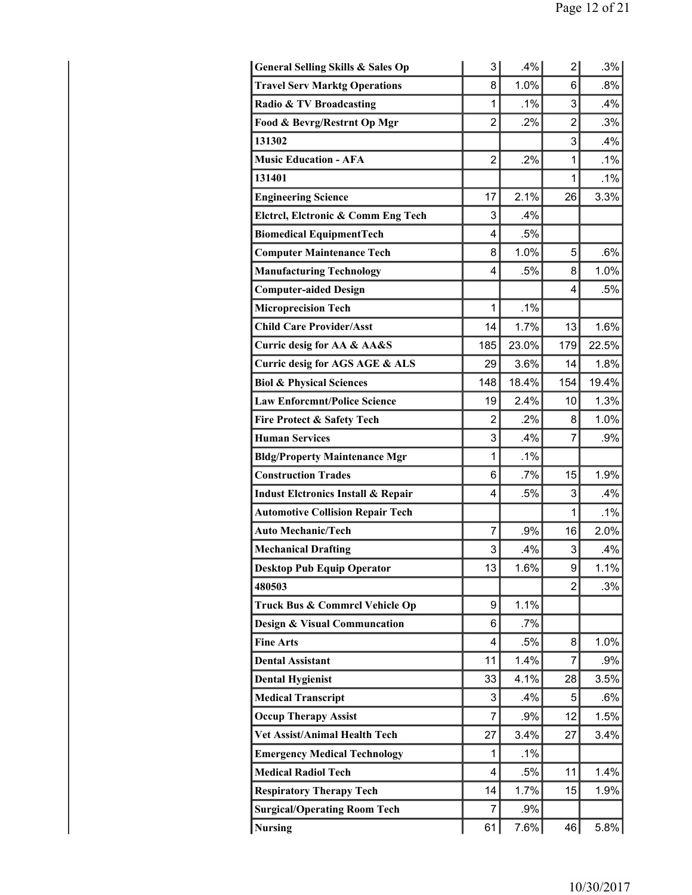| <b>General Selling Skills &amp; Sales Op</b>  | 3              | .4%     | 2              | .3%   |
|-----------------------------------------------|----------------|---------|----------------|-------|
| <b>Travel Serv Marktg Operations</b>          | 8              | 1.0%    | 6              | .8%   |
| Radio & TV Broadcasting                       | 1              | .1%     | 3              | .4%   |
| Food & Bevrg/Restrnt Op Mgr                   | $\overline{2}$ | .2%     | $\overline{2}$ | .3%   |
| 131302                                        |                |         | 3              | .4%   |
| <b>Music Education - AFA</b>                  | $\overline{2}$ | .2%     | 1              | .1%   |
| 131401                                        |                |         | 1              | .1%   |
| <b>Engineering Science</b>                    | 17             | 2.1%    | 26             | 3.3%  |
| Elctrcl, Elctronic & Comm Eng Tech            | 3              | $.4\%$  |                |       |
| <b>Biomedical EquipmentTech</b>               | 4              | .5%     |                |       |
| <b>Computer Maintenance Tech</b>              | 8              | 1.0%    | 5              | .6%   |
| <b>Manufacturing Technology</b>               | 4              | .5%     | 8              | 1.0%  |
| <b>Computer-aided Design</b>                  |                |         | 4              | .5%   |
| <b>Microprecision Tech</b>                    | 1              | .1%     |                |       |
| <b>Child Care Provider/Asst</b>               | 14             | 1.7%    | 13             | 1.6%  |
| Curric desig for AA & AA&S                    | 185            | 23.0%   | 179            | 22.5% |
| Curric desig for AGS AGE & ALS                | 29             | 3.6%    | 14             | 1.8%  |
| <b>Biol &amp; Physical Sciences</b>           | 148            | 18.4%   | 154            | 19.4% |
| <b>Law Enforcmnt/Police Science</b>           | 19             | 2.4%    | 10             | 1.3%  |
| Fire Protect & Safety Tech                    | $\overline{2}$ | .2%     | 8              | 1.0%  |
| <b>Human Services</b>                         | 3              | .4%     | 7              | .9%   |
| <b>Bldg/Property Maintenance Mgr</b>          | 1              | .1%     |                |       |
| <b>Construction Trades</b>                    | 6              | $.7\%$  | 15             | 1.9%  |
| <b>Indust Elctronics Install &amp; Repair</b> | 4              | .5%     | 3              | .4%   |
| <b>Automotive Collision Repair Tech</b>       |                |         | 1              | .1%   |
| <b>Auto Mechanic/Tech</b>                     | 7              | .9%     | 16             | 2.0%  |
| <b>Mechanical Drafting</b>                    | 3              | .4%     | 3              | .4%   |
| <b>Desktop Pub Equip Operator</b>             | 13             | 1.6%    | 9              | 1.1%  |
| 480503                                        |                |         | $\overline{2}$ | .3%   |
| Truck Bus & Commrcl Vehicle Op                | 9              | 1.1%    |                |       |
| <b>Design &amp; Visual Communcation</b>       | 6              | $.7\%$  |                |       |
| <b>Fine Arts</b>                              | 4              | .5%     | 8              | 1.0%  |
| <b>Dental Assistant</b>                       | 11             | 1.4%    | 7              | .9%   |
| <b>Dental Hygienist</b>                       | 33             | 4.1%    | 28             | 3.5%  |
| <b>Medical Transcript</b>                     | 3              | .4%     | 5              | .6%   |
| <b>Occup Therapy Assist</b>                   | 7              | .9%     | 12             | 1.5%  |
| <b>Vet Assist/Animal Health Tech</b>          | 27             | 3.4%    | 27             | 3.4%  |
| <b>Emergency Medical Technology</b>           | 1              | $.1\%$  |                |       |
| <b>Medical Radiol Tech</b>                    | 4              | .5%     | 11             | 1.4%  |
| <b>Respiratory Therapy Tech</b>               | 14             | 1.7%    | 15             | 1.9%  |
| <b>Surgical/Operating Room Tech</b>           | 7              | .9%     |                |       |
| Nursing                                       | 61             | $7.6\%$ | 46             | 5.8%  |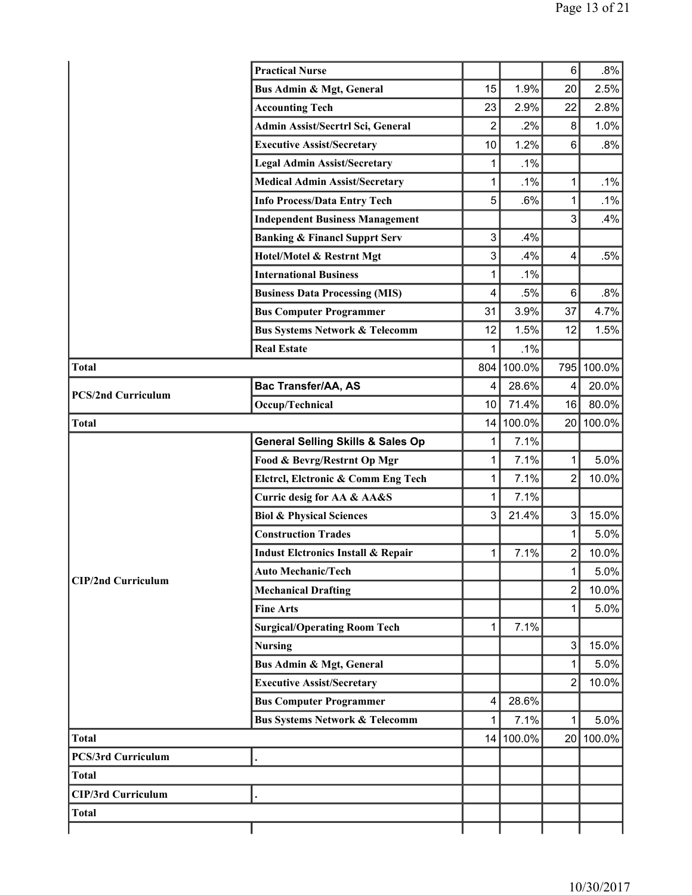|                           | <b>Practical Nurse</b>                        |                |        | 6                       | $.8\%$     |
|---------------------------|-----------------------------------------------|----------------|--------|-------------------------|------------|
|                           | Bus Admin & Mgt, General                      | 15             | 1.9%   | 20                      | 2.5%       |
|                           | <b>Accounting Tech</b>                        | 23             | 2.9%   | 22                      | 2.8%       |
|                           | Admin Assist/Secrtrl Sci, General             | $\overline{2}$ | .2%    | 8                       | 1.0%       |
|                           | <b>Executive Assist/Secretary</b>             | 10             | 1.2%   | 6                       | .8%        |
|                           | <b>Legal Admin Assist/Secretary</b>           | 1              | .1%    |                         |            |
|                           | <b>Medical Admin Assist/Secretary</b>         | 1              | .1%    | 1                       | .1%        |
|                           | <b>Info Process/Data Entry Tech</b>           | 5              | .6%    | 1                       | .1%        |
|                           | <b>Independent Business Management</b>        |                |        | 3                       | .4%        |
|                           | <b>Banking &amp; Financl Supprt Serv</b>      | 3              | .4%    |                         |            |
|                           | Hotel/Motel & Restrnt Mgt                     | 3              | .4%    | 4                       | .5%        |
|                           | <b>International Business</b>                 | 1              | .1%    |                         |            |
|                           | <b>Business Data Processing (MIS)</b>         | 4              | .5%    | $6\phantom{1}6$         | .8%        |
|                           | <b>Bus Computer Programmer</b>                | 31             | 3.9%   | 37                      | 4.7%       |
|                           | <b>Bus Systems Network &amp; Telecomm</b>     | 12             | 1.5%   | 12                      | 1.5%       |
|                           | <b>Real Estate</b>                            | $\mathbf{1}$   | .1%    |                         |            |
| <b>Total</b>              |                                               | 804            | 100.0% |                         | 795 100.0% |
| <b>PCS/2nd Curriculum</b> | <b>Bac Transfer/AA, AS</b>                    | 4              | 28.6%  | 4                       | 20.0%      |
|                           | Occup/Technical                               | 10             | 71.4%  | 16                      | 80.0%      |
| <b>Total</b>              |                                               | 14             | 100.0% | 20                      | 100.0%     |
|                           | <b>General Selling Skills &amp; Sales Op</b>  | 1              | 7.1%   |                         |            |
|                           | Food & Bevrg/Restrnt Op Mgr                   | 1              | 7.1%   | 1                       | 5.0%       |
|                           | Elctrcl, Elctronic & Comm Eng Tech            | $\mathbf{1}$   | 7.1%   | $\overline{c}$          | 10.0%      |
|                           | Curric desig for AA & AA&S                    | 1              | 7.1%   |                         |            |
|                           | <b>Biol &amp; Physical Sciences</b>           | 3              | 21.4%  | 3                       | 15.0%      |
|                           | <b>Construction Trades</b>                    |                |        | 1                       | 5.0%       |
|                           | <b>Indust Eletronics Install &amp; Repair</b> | 1              | 7.1%   | $\overline{\mathbf{c}}$ | 10.0%      |
| <b>CIP/2nd Curriculum</b> | <b>Auto Mechanic/Tech</b>                     |                |        | 1                       | 5.0%       |
|                           | <b>Mechanical Drafting</b>                    |                |        | 2                       | 10.0%      |
|                           | <b>Fine Arts</b>                              |                |        | 1                       | 5.0%       |
|                           | <b>Surgical/Operating Room Tech</b>           | 1              | 7.1%   |                         |            |
|                           | <b>Nursing</b>                                |                |        | 3                       | 15.0%      |
|                           | Bus Admin & Mgt, General                      |                |        | 1                       | 5.0%       |
|                           | <b>Executive Assist/Secretary</b>             |                |        | 2                       | 10.0%      |
|                           | <b>Bus Computer Programmer</b>                | 4              | 28.6%  |                         |            |
|                           | <b>Bus Systems Network &amp; Telecomm</b>     | 1              | 7.1%   | 1                       | 5.0%       |
| <b>Total</b>              |                                               | 14 I           | 100.0% | 20                      | 100.0%     |
| <b>PCS/3rd Curriculum</b> |                                               |                |        |                         |            |
| <b>Total</b>              |                                               |                |        |                         |            |
| <b>CIP/3rd Curriculum</b> |                                               |                |        |                         |            |
| <b>Total</b>              |                                               |                |        |                         |            |
|                           |                                               |                |        |                         |            |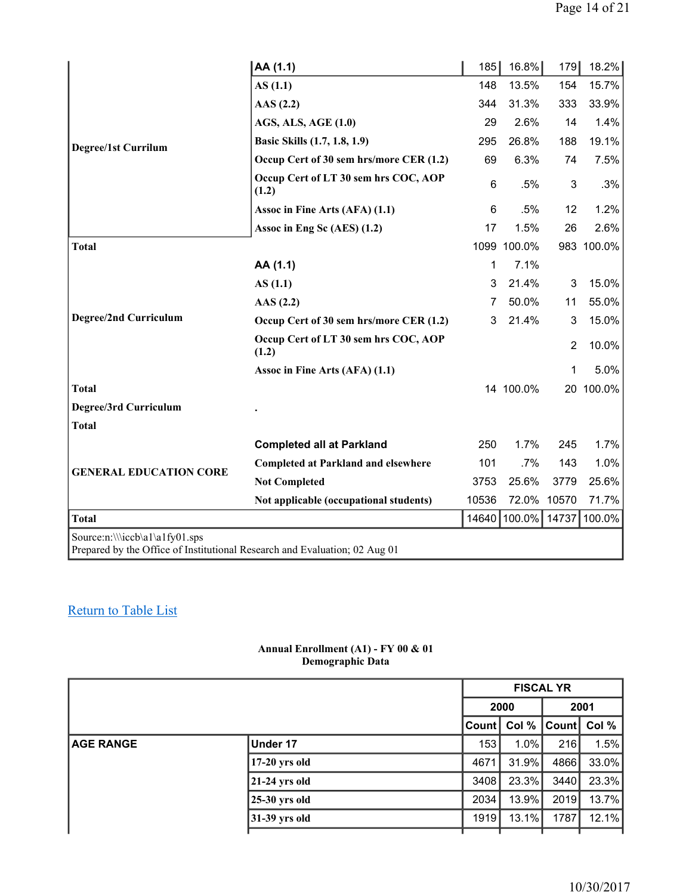|                                                                                                              | AA (1.1)                                      | 185   | 16.8%       | 179            | 18.2%      |
|--------------------------------------------------------------------------------------------------------------|-----------------------------------------------|-------|-------------|----------------|------------|
|                                                                                                              | AS(1.1)                                       | 148   | 13.5%       | 154            | 15.7%      |
|                                                                                                              | $\text{AAS}$ (2.2)                            | 344   | 31.3%       | 333            | 33.9%      |
|                                                                                                              | <b>AGS, ALS, AGE (1.0)</b>                    | 29    | 2.6%        | 14             | 1.4%       |
| <b>Degree/1st Currilum</b>                                                                                   | Basic Skills (1.7, 1.8, 1.9)                  | 295   | 26.8%       | 188            | 19.1%      |
|                                                                                                              | Occup Cert of 30 sem hrs/more CER (1.2)       | 69    | 6.3%        | 74             | 7.5%       |
|                                                                                                              | Occup Cert of LT 30 sem hrs COC, AOP<br>(1.2) | 6     | .5%         | 3              | .3%        |
|                                                                                                              | Assoc in Fine Arts (AFA) (1.1)                | 6     | .5%         | 12             | 1.2%       |
|                                                                                                              | Assoc in Eng Sc (AES) (1.2)                   | 17    | 1.5%        | 26             | 2.6%       |
| <b>Total</b>                                                                                                 |                                               |       | 1099 100.0% |                | 983 100.0% |
|                                                                                                              | AA (1.1)                                      | 1     | 7.1%        |                |            |
|                                                                                                              | AS(1.1)                                       | 3     | 21.4%       | 3              | 15.0%      |
|                                                                                                              | AAS(2.2)                                      | 7     | 50.0%       | 11             | 55.0%      |
| <b>Degree/2nd Curriculum</b>                                                                                 | Occup Cert of 30 sem hrs/more CER (1.2)       | 3     | 21.4%       | 3              | 15.0%      |
|                                                                                                              | Occup Cert of LT 30 sem hrs COC, AOP<br>(1.2) |       |             | $\overline{2}$ | 10.0%      |
|                                                                                                              | Assoc in Fine Arts (AFA) (1.1)                |       |             | 1              | 5.0%       |
| <b>Total</b>                                                                                                 |                                               |       | 14 100.0%   |                | 20 100.0%  |
| Degree/3rd Curriculum                                                                                        |                                               |       |             |                |            |
| <b>Total</b>                                                                                                 |                                               |       |             |                |            |
|                                                                                                              | <b>Completed all at Parkland</b>              | 250   | 1.7%        | 245            | 1.7%       |
| <b>GENERAL EDUCATION CORE</b>                                                                                | <b>Completed at Parkland and elsewhere</b>    | 101   | .7%         | 143            | 1.0%       |
|                                                                                                              | <b>Not Completed</b>                          | 3753  | 25.6%       | 3779           | 25.6%      |
|                                                                                                              | Not applicable (occupational students)        | 10536 | 72.0%       | 10570          | 71.7%      |
| <b>Total</b>                                                                                                 |                                               | 14640 | 100.0%      | 14737          | 100.0%     |
| Source:n:\\\iccb\a1\a1fy01.sps<br>Prepared by the Office of Institutional Research and Evaluation; 02 Aug 01 |                                               |       |             |                |            |

#### **Annual Enrollment (A1) - FY 00 & 01 Demographic Data**

|                  |                 |       | <b>FISCAL YR</b> |       |       |  |
|------------------|-----------------|-------|------------------|-------|-------|--|
|                  |                 |       | 2001<br>2000     |       |       |  |
|                  |                 | Count | Col $%$          | Count | Col % |  |
| <b>AGE RANGE</b> | Under 17        | 153   | $1.0\%$          | 216   | 1.5%  |  |
|                  | $17-20$ yrs old | 4671  | $31.9\%$         | 4866  | 33.0% |  |
|                  | $21-24$ yrs old | 3408  | $23.3\%$         | 3440  | 23.3% |  |
|                  | $25-30$ yrs old | 2034  | 13.9%            | 2019  | 13.7% |  |
|                  | $31-39$ yrs old | 1919  | $13.1\%$         | 1787  | 12.1% |  |
|                  |                 |       |                  |       |       |  |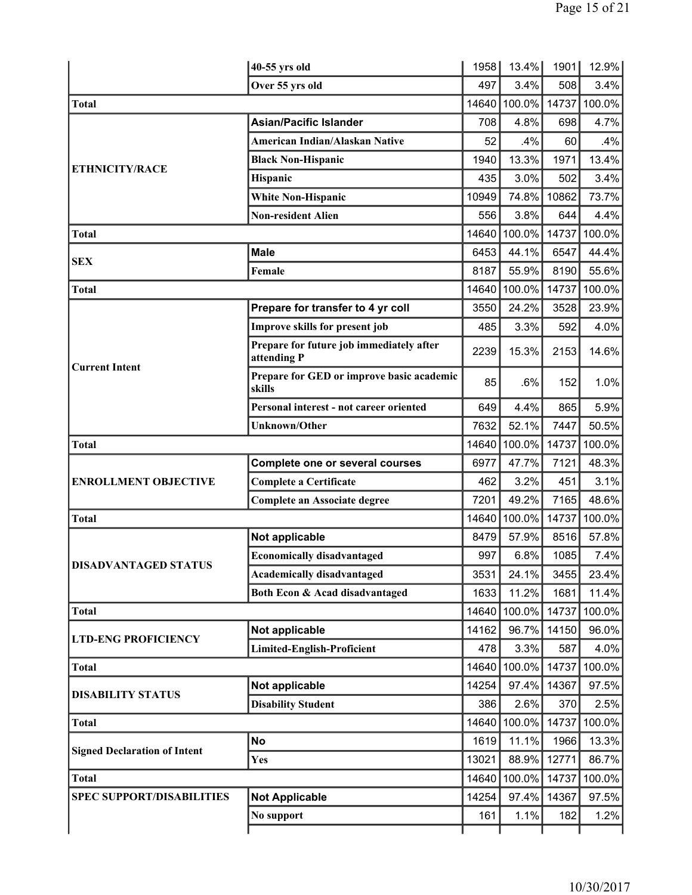|                                     | 40-55 yrs old                                           | 1958  | 13.4%  | 1901  | 12.9%  |
|-------------------------------------|---------------------------------------------------------|-------|--------|-------|--------|
|                                     | Over 55 yrs old                                         | 497   | 3.4%   | 508   | 3.4%   |
| <b>Total</b>                        |                                                         | 14640 | 100.0% | 14737 | 100.0% |
|                                     | <b>Asian/Pacific Islander</b>                           | 708   | 4.8%   | 698   | 4.7%   |
|                                     | American Indian/Alaskan Native                          | 52    | .4%    | 60    | $.4\%$ |
|                                     | <b>Black Non-Hispanic</b>                               | 1940  | 13.3%  | 1971  | 13.4%  |
| <b>ETHNICITY/RACE</b>               | Hispanic                                                | 435   | 3.0%   | 502   | 3.4%   |
|                                     | <b>White Non-Hispanic</b>                               | 10949 | 74.8%  | 10862 | 73.7%  |
|                                     | <b>Non-resident Alien</b>                               | 556   | 3.8%   | 644   | 4.4%   |
| <b>Total</b>                        |                                                         | 14640 | 100.0% | 14737 | 100.0% |
| <b>SEX</b>                          | <b>Male</b>                                             | 6453  | 44.1%  | 6547  | 44.4%  |
|                                     | Female                                                  | 8187  | 55.9%  | 8190  | 55.6%  |
| Total                               |                                                         | 14640 | 100.0% | 14737 | 100.0% |
|                                     | Prepare for transfer to 4 yr coll                       | 3550  | 24.2%  | 3528  | 23.9%  |
|                                     | Improve skills for present job                          | 485   | 3.3%   | 592   | 4.0%   |
| <b>Current Intent</b>               | Prepare for future job immediately after<br>attending P | 2239  | 15.3%  | 2153  | 14.6%  |
|                                     | Prepare for GED or improve basic academic<br>skills     | 85    | .6%    | 152   | 1.0%   |
|                                     | Personal interest - not career oriented                 | 649   | 4.4%   | 865   | 5.9%   |
|                                     | <b>Unknown/Other</b>                                    | 7632  | 52.1%  | 7447  | 50.5%  |
| <b>Total</b>                        |                                                         | 14640 | 100.0% | 14737 | 100.0% |
|                                     | Complete one or several courses                         | 6977  | 47.7%  | 7121  | 48.3%  |
| <b>ENROLLMENT OBJECTIVE</b>         | <b>Complete a Certificate</b>                           | 462   | 3.2%   | 451   | 3.1%   |
|                                     | <b>Complete an Associate degree</b>                     | 7201  | 49.2%  | 7165  | 48.6%  |
| Total                               |                                                         | 14640 | 100.0% | 14737 | 100.0% |
|                                     | Not applicable                                          | 8479  | 57.9%  | 8516  | 57.8%  |
| <b>DISADVANTAGED STATUS</b>         | <b>Economically disadvantaged</b>                       | 997   | 6.8%   | 1085  | 7.4%   |
|                                     | <b>Academically disadvantaged</b>                       | 3531  | 24.1%  | 3455  | 23.4%  |
|                                     | Both Econ & Acad disadvantaged                          | 1633  | 11.2%  | 1681  | 11.4%  |
| <b>Total</b>                        |                                                         | 14640 | 100.0% | 14737 | 100.0% |
| <b>LTD-ENG PROFICIENCY</b>          | Not applicable                                          | 14162 | 96.7%  | 14150 | 96.0%  |
|                                     | <b>Limited-English-Proficient</b>                       | 478   | 3.3%   | 587   | 4.0%   |
| <b>Total</b>                        |                                                         | 14640 | 100.0% | 14737 | 100.0% |
| <b>DISABILITY STATUS</b>            | Not applicable                                          | 14254 | 97.4%  | 14367 | 97.5%  |
|                                     | <b>Disability Student</b>                               | 386   | 2.6%   | 370   | 2.5%   |
| <b>Total</b>                        |                                                         | 14640 | 100.0% | 14737 | 100.0% |
| <b>Signed Declaration of Intent</b> | <b>No</b>                                               | 1619  | 11.1%  | 1966  | 13.3%  |
|                                     | Yes                                                     | 13021 | 88.9%  | 12771 | 86.7%  |
| <b>Total</b>                        |                                                         | 14640 | 100.0% | 14737 | 100.0% |
| <b>SPEC SUPPORT/DISABILITIES</b>    | <b>Not Applicable</b>                                   | 14254 | 97.4%  | 14367 | 97.5%  |
|                                     | No support                                              | 161   | 1.1%   | 182   | 1.2%   |
|                                     |                                                         |       |        |       |        |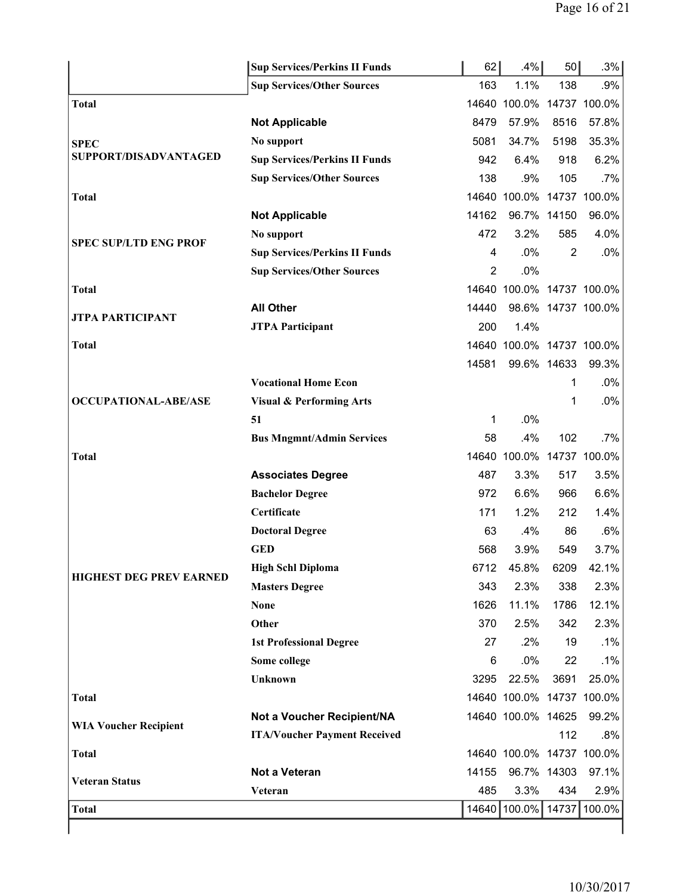|                                | <b>Sup Services/Perkins II Funds</b> | 62             | .4%                       | 50          | .3%                |
|--------------------------------|--------------------------------------|----------------|---------------------------|-------------|--------------------|
|                                | <b>Sup Services/Other Sources</b>    | 163            | 1.1%                      | 138         | .9%                |
| <b>Total</b>                   |                                      |                | 14640 100.0% 14737 100.0% |             |                    |
|                                | <b>Not Applicable</b>                | 8479           | 57.9%                     | 8516        | 57.8%              |
| <b>SPEC</b>                    | No support                           | 5081           | 34.7%                     | 5198        | 35.3%              |
| SUPPORT/DISADVANTAGED          | <b>Sup Services/Perkins II Funds</b> | 942            | 6.4%                      | 918         | 6.2%               |
|                                | <b>Sup Services/Other Sources</b>    | 138            | .9%                       | 105         | .7%                |
| <b>Total</b>                   |                                      |                | 14640 100.0% 14737 100.0% |             |                    |
|                                | <b>Not Applicable</b>                | 14162          | 96.7% 14150               |             | 96.0%              |
| <b>SPEC SUP/LTD ENG PROF</b>   | No support                           | 472            | 3.2%                      | 585         | 4.0%               |
|                                | <b>Sup Services/Perkins II Funds</b> | 4              | .0%                       | 2           | .0%                |
|                                | <b>Sup Services/Other Sources</b>    | $\overline{2}$ | .0%                       |             |                    |
| <b>Total</b>                   |                                      |                | 14640 100.0% 14737 100.0% |             |                    |
| JTPA PARTICIPANT               | <b>All Other</b>                     | 14440          |                           |             | 98.6% 14737 100.0% |
|                                | <b>JTPA Participant</b>              | 200            | 1.4%                      |             |                    |
| <b>Total</b>                   |                                      |                | 14640 100.0% 14737 100.0% |             |                    |
|                                |                                      | 14581          |                           | 99.6% 14633 | 99.3%              |
|                                | <b>Vocational Home Econ</b>          |                |                           | 1           | .0%                |
| <b>OCCUPATIONAL-ABE/ASE</b>    | <b>Visual &amp; Performing Arts</b>  |                |                           | 1           | .0%                |
|                                | 51                                   | 1              | .0%                       |             |                    |
|                                | <b>Bus Mngmnt/Admin Services</b>     | 58             | .4%                       | 102         | $.7\%$             |
| <b>Total</b>                   |                                      |                | 14640 100.0% 14737 100.0% |             |                    |
|                                | <b>Associates Degree</b>             | 487            | 3.3%                      | 517         | 3.5%               |
|                                | <b>Bachelor Degree</b>               | 972            | 6.6%                      | 966         | 6.6%               |
|                                | Certificate                          | 171            | 1.2%                      | 212         | 1.4%               |
|                                | <b>Doctoral Degree</b>               | 63             | .4%                       | 86          | .6%                |
|                                | <b>GED</b>                           | 568            | 3.9%                      | 549         | 3.7%               |
| <b>HIGHEST DEG PREV EARNED</b> | <b>High Schl Diploma</b>             | 6712           | 45.8%                     | 6209        | 42.1%              |
|                                | <b>Masters Degree</b>                | 343            | 2.3%                      | 338         | 2.3%               |
|                                | <b>None</b>                          | 1626           | 11.1%                     | 1786        | 12.1%              |
|                                | Other                                | 370            | 2.5%                      | 342         | 2.3%               |
|                                | <b>1st Professional Degree</b>       | 27             | $.2\%$                    | 19          | .1%                |
|                                | Some college                         | 6              | .0%                       | 22          | .1%                |
|                                | Unknown                              | 3295           | 22.5%                     | 3691        | 25.0%              |
| <b>Total</b>                   |                                      |                | 14640 100.0% 14737 100.0% |             |                    |
| <b>WIA Voucher Recipient</b>   | Not a Voucher Recipient/NA           |                | 14640 100.0% 14625        |             | 99.2%              |
|                                | <b>ITA/Voucher Payment Received</b>  |                |                           | 112         | .8%                |
| <b>Total</b>                   |                                      |                | 14640 100.0% 14737 100.0% |             |                    |
| <b>Veteran Status</b>          | Not a Veteran                        | 14155          | 96.7% 14303               |             | 97.1%              |
|                                | Veteran                              | 485            | 3.3%                      | 434         | 2.9%               |
| <b>Total</b>                   |                                      |                | 14640 100.0%              |             | 14737 100.0%       |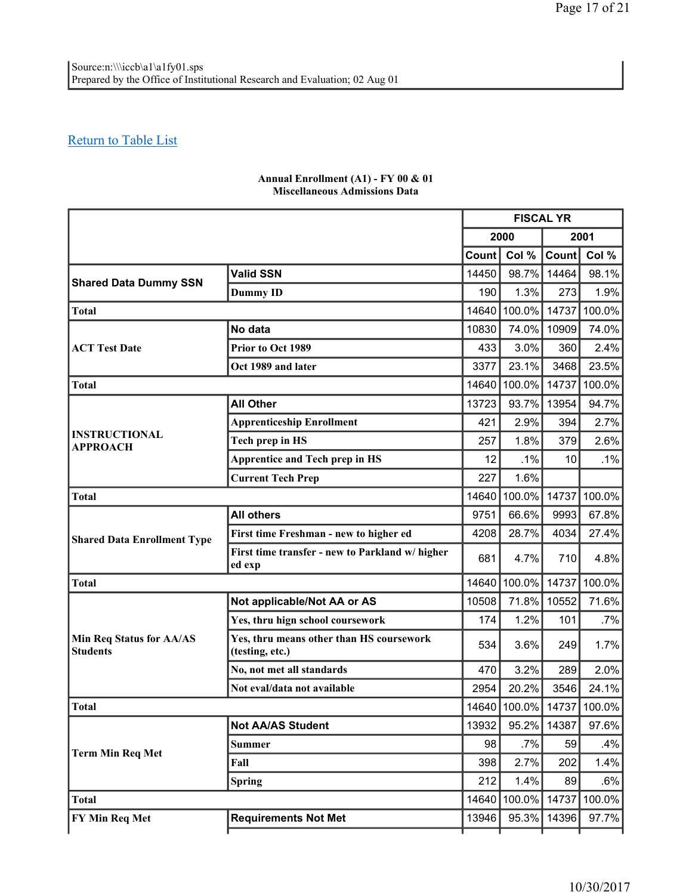|                                                    |                                                             | <b>FISCAL YR</b> |              |       |        |
|----------------------------------------------------|-------------------------------------------------------------|------------------|--------------|-------|--------|
|                                                    |                                                             | 2000             |              |       | 2001   |
|                                                    |                                                             | <b>Count</b>     | Col %        | Count | Col %  |
| <b>Shared Data Dummy SSN</b>                       | <b>Valid SSN</b>                                            | 14450            | 98.7%        | 14464 | 98.1%  |
|                                                    | <b>Dummy ID</b>                                             | 190              | 1.3%         | 273   | 1.9%   |
| <b>Total</b>                                       |                                                             | 14640            | 100.0%       | 14737 | 100.0% |
|                                                    | No data                                                     | 10830            | 74.0%        | 10909 | 74.0%  |
| <b>ACT Test Date</b>                               | Prior to Oct 1989                                           | 433              | 3.0%         | 360   | 2.4%   |
|                                                    | Oct 1989 and later                                          | 3377             | 23.1%        | 3468  | 23.5%  |
| <b>Total</b>                                       |                                                             | 14640            | 100.0%       | 14737 | 100.0% |
|                                                    | <b>All Other</b>                                            | 13723            | 93.7%        | 13954 | 94.7%  |
|                                                    | <b>Apprenticeship Enrollment</b>                            | 421              | 2.9%         | 394   | 2.7%   |
| <b>INSTRUCTIONAL</b><br><b>APPROACH</b>            | Tech prep in HS                                             | 257              | 1.8%         | 379   | 2.6%   |
|                                                    | <b>Apprentice and Tech prep in HS</b>                       | 12               | .1%          | 10    | $.1\%$ |
|                                                    | <b>Current Tech Prep</b>                                    | 227              | 1.6%         |       |        |
| <b>Total</b>                                       |                                                             | 14640            | 100.0%       | 14737 | 100.0% |
|                                                    | <b>All others</b>                                           | 9751             | 66.6%        | 9993  | 67.8%  |
| <b>Shared Data Enrollment Type</b>                 | First time Freshman - new to higher ed                      | 4208             | 28.7%        | 4034  | 27.4%  |
|                                                    | First time transfer - new to Parkland w/ higher<br>ed exp   | 681              | 4.7%         | 710   | 4.8%   |
| <b>Total</b>                                       |                                                             | 14640            | 100.0%       | 14737 | 100.0% |
|                                                    | Not applicable/Not AA or AS                                 | 10508            | 71.8%        | 10552 | 71.6%  |
|                                                    | Yes, thru hign school coursework                            | 174              | 1.2%         | 101   | .7%    |
| <b>Min Req Status for AA/AS</b><br><b>Students</b> | Yes, thru means other than HS coursework<br>(testing, etc.) | 534              | 3.6%         | 249   | 1.7%   |
|                                                    | No, not met all standards                                   | 470              | 3.2%         | 289   | 2.0%   |
|                                                    | Not eval/data not available                                 | 2954             | 20.2%        | 3546  | 24.1%  |
| <b>Total</b>                                       |                                                             | 14640            | 100.0% 14737 |       | 100.0% |
|                                                    | <b>Not AA/AS Student</b>                                    | 13932            | 95.2%        | 14387 | 97.6%  |
|                                                    | <b>Summer</b>                                               | 98               | .7%          | 59    | .4%    |
| <b>Term Min Req Met</b>                            | Fall                                                        | 398              | 2.7%         | 202   | 1.4%   |
|                                                    | <b>Spring</b>                                               | 212              | 1.4%         | 89    | $.6\%$ |
| <b>Total</b>                                       |                                                             | 14640            | 100.0%       | 14737 | 100.0% |
| FY Min Req Met                                     | <b>Requirements Not Met</b>                                 | 13946            | 95.3%        | 14396 | 97.7%  |
|                                                    |                                                             |                  |              |       |        |

#### **Annual Enrollment (A1) - FY 00 & 01 Miscellaneous Admissions Data**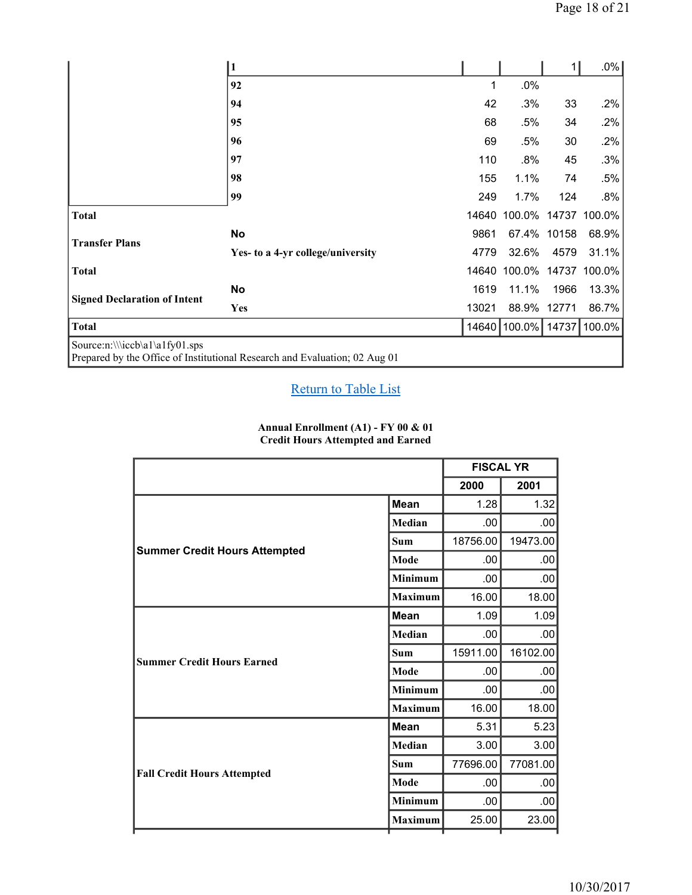|                                     | 1                                                                          |       |                    | 1     | $.0\%$ |
|-------------------------------------|----------------------------------------------------------------------------|-------|--------------------|-------|--------|
|                                     | 92                                                                         | 1     | .0%                |       |        |
|                                     | 94                                                                         | 42    | .3%                | 33    | .2%    |
|                                     | 95                                                                         | 68    | .5%                | 34    | .2%    |
|                                     | 96                                                                         | 69    | .5%                | 30    | .2%    |
|                                     | 97                                                                         | 110   | .8%                | 45    | .3%    |
|                                     | 98                                                                         | 155   | 1.1%               | 74    | .5%    |
|                                     | 99                                                                         | 249   | 1.7%               | 124   | $.8\%$ |
| <b>Total</b>                        |                                                                            | 14640 | 100.0%             | 14737 | 100.0% |
| <b>Transfer Plans</b>               | No                                                                         | 9861  | 67.4%              | 10158 | 68.9%  |
|                                     | Yes- to a 4-yr college/university                                          | 4779  | 32.6%              | 4579  | 31.1%  |
| <b>Total</b>                        |                                                                            |       | 14640 100.0% 14737 |       | 100.0% |
|                                     | <b>No</b>                                                                  | 1619  | 11.1%              | 1966  | 13.3%  |
| <b>Signed Declaration of Intent</b> | Yes                                                                        | 13021 | 88.9%              | 12771 | 86.7%  |
| <b>Total</b>                        |                                                                            |       | 14640 100.0%       | 14737 | 100.0% |
| Source:n:\\\iccb\a1\a1fy01.sps      | Prepared by the Office of Institutional Research and Evaluation; 02 Aug 01 |       |                    |       |        |

#### **Annual Enrollment (A1) - FY 00 & 01 Credit Hours Attempted and Earned**

|                                      |                | <b>FISCAL YR</b> |          |
|--------------------------------------|----------------|------------------|----------|
|                                      |                | 2000             | 2001     |
|                                      | <b>Mean</b>    | 1.28             | 1.32     |
|                                      | Median         | .00              | .00.     |
|                                      | <b>Sum</b>     | 18756.00         | 19473.00 |
| <b>Summer Credit Hours Attempted</b> | Mode           | .00              | .00      |
|                                      | <b>Minimum</b> | .00              | .00      |
|                                      | <b>Maximum</b> | 16.00            | 18.00    |
|                                      | <b>Mean</b>    | 1.09             | 1.09     |
|                                      | Median         | .00.             | .00.     |
| <b>Summer Credit Hours Earned</b>    | <b>Sum</b>     | 15911.00         | 16102.00 |
|                                      | Mode           | .00              | .00      |
|                                      | Minimum        | .00              | .00.     |
|                                      | <b>Maximum</b> | 16.00            | 18.00    |
|                                      | <b>Mean</b>    | 5.31             | 5.23     |
|                                      | Median         | 3.00             | 3.00     |
| <b>Fall Credit Hours Attempted</b>   | Sum            | 77696.00         | 77081.00 |
|                                      | Mode           | .00              | .00      |
|                                      | Minimum        | .00.             | .00      |
|                                      | <b>Maximum</b> | 25.00            | 23.00    |
|                                      |                |                  |          |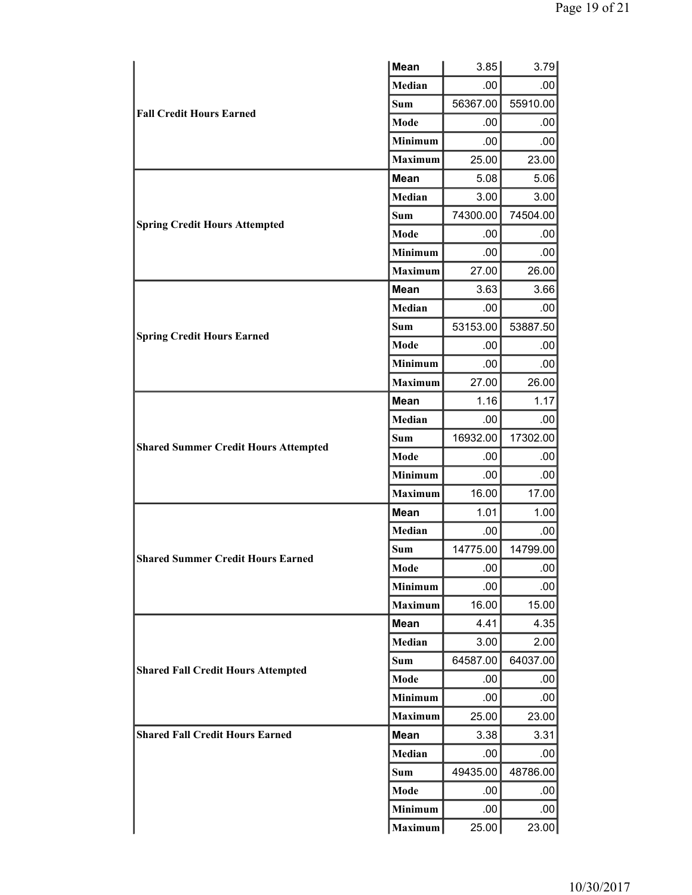|                                             | <b>Mean</b>    | 3.85     | 3.79             |
|---------------------------------------------|----------------|----------|------------------|
|                                             | Median         | .00      | $.00 \,$         |
| <b>Fall Credit Hours Earned</b>             | <b>Sum</b>     | 56367.00 | 55910.00         |
|                                             | Mode           | .00      | .00              |
|                                             | Minimum        | .00      | .00              |
|                                             | <b>Maximum</b> | 25.00    | 23.00            |
|                                             | <b>Mean</b>    | 5.08     | 5.06             |
|                                             | Median         | 3.00     | 3.00             |
| <b>Spring Credit Hours Attempted</b>        | <b>Sum</b>     | 74300.00 | 74504.00         |
|                                             | Mode           | .00      | .00              |
|                                             | <b>Minimum</b> | .00      | .00              |
|                                             | <b>Maximum</b> | 27.00    | 26.00            |
|                                             | <b>Mean</b>    | 3.63     | 3.66             |
|                                             | Median         | .00      | .00              |
| <b>Spring Credit Hours Earned</b>           | Sum            | 53153.00 | 53887.50         |
|                                             | Mode           | .00      | .00              |
|                                             | Minimum        | .00      | .00              |
|                                             | <b>Maximum</b> | 27.00    | 26.00            |
|                                             | <b>Mean</b>    | 1.16     | 1.17             |
|                                             | Median         | .00      | .00              |
| <b>Shared Summer Credit Hours Attempted</b> | Sum            | 16932.00 | 17302.00         |
|                                             | Mode           | .00      | .00              |
|                                             | Minimum        | .00      | .00              |
|                                             | <b>Maximum</b> | 16.00    | 17.00            |
|                                             | Mean           | 1.01     | 1.00             |
|                                             | Median         | .00      | .00              |
| <b>Shared Summer Credit Hours Earned</b>    | Sum            | 14775.00 | 14799.00         |
|                                             | Mode           | .00      | .00              |
|                                             | <b>Minimum</b> | .00      | .00              |
|                                             | <b>Maximum</b> | 16.00    | 15.00            |
|                                             | <b>Mean</b>    | 4.41     | 4.35             |
|                                             | Median         | 3.00     | 2.00             |
| <b>Shared Fall Credit Hours Attempted</b>   | Sum            | 64587.00 | 64037.00         |
|                                             | Mode           | .00      | .00              |
|                                             | Minimum        | .00.     | .00              |
|                                             | <b>Maximum</b> | 25.00    | 23.00            |
| <b>Shared Fall Credit Hours Earned</b>      | <b>Mean</b>    | 3.38     | 3.31             |
|                                             | Median         | .00      | .00              |
|                                             | Sum            | 49435.00 | 48786.00         |
|                                             | Mode           | .00      | .00 <sub>1</sub> |
|                                             | Minimum        | .00      | .00              |
|                                             | Maximum        | 25.00    | 23.00            |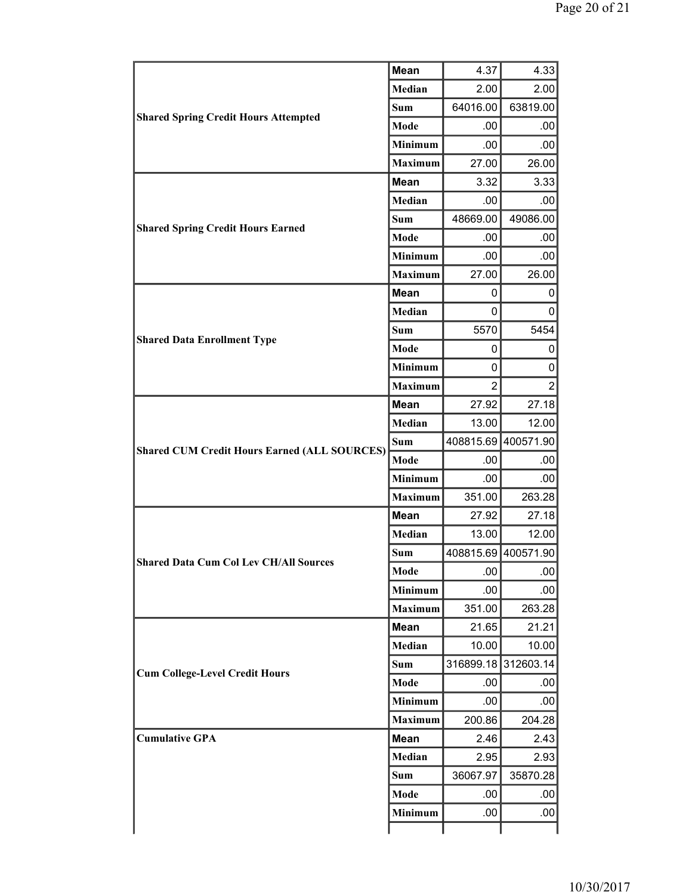|                                                                                   | Mean           | 4.37                                   | 4.33                |
|-----------------------------------------------------------------------------------|----------------|----------------------------------------|---------------------|
| <b>Shared Spring Credit Hours Attempted</b>                                       | Median         | 2.00                                   | 2.00                |
|                                                                                   | <b>Sum</b>     | 64016.00                               | 63819.00            |
|                                                                                   | <b>Mode</b>    | .00                                    | .00.                |
|                                                                                   | Minimum        | .00                                    | .00                 |
|                                                                                   | <b>Maximum</b> | 27.00                                  | 26.00               |
| <b>Mean</b><br>Median<br>Sum<br><b>Shared Spring Credit Hours Earned</b><br>Mode  |                | 3.32                                   | 3.33                |
|                                                                                   |                | .00                                    | .00.                |
|                                                                                   |                | 48669.00                               | 49086.00            |
|                                                                                   |                | .00                                    | .00                 |
|                                                                                   | Minimum        | .00                                    | .00                 |
|                                                                                   | <b>Maximum</b> | 27.00                                  | 26.00               |
|                                                                                   | <b>Mean</b>    | 0                                      | 0                   |
|                                                                                   | <b>Median</b>  | 0                                      | 0                   |
|                                                                                   | Sum            | 5570                                   | 5454                |
| <b>Shared Data Enrollment Type</b>                                                | Mode           | 0                                      | 0                   |
|                                                                                   | Minimum        | 0                                      | 0                   |
|                                                                                   | <b>Maximum</b> | $\overline{2}$                         | $\overline{2}$      |
|                                                                                   | Mean           | 27.92                                  | 27.18               |
| <b>Shared CUM Credit Hours Earned (ALL SOURCES)</b>                               | Median         | 13.00                                  | 12.00               |
|                                                                                   | <b>Sum</b>     | 408815.69                              | 400571.90           |
|                                                                                   | Mode           | .00                                    | .00                 |
|                                                                                   | Minimum        | .00                                    | .00.                |
|                                                                                   | <b>Maximum</b> | 351.00                                 | 263.28              |
|                                                                                   | <b>Mean</b>    | 27.92<br>13.00<br>.00<br>.00<br>351.00 | 27.18               |
| Median<br>Sum<br><b>Shared Data Cum Col Lev CH/All Sources</b><br>Mode<br>Minimum |                | 12.00                                  |                     |
|                                                                                   |                |                                        | 408815.69 400571.90 |
|                                                                                   |                |                                        | .00                 |
|                                                                                   |                |                                        | .00                 |
|                                                                                   | <b>Maximum</b> |                                        | 263.28              |
|                                                                                   | Mean           | 21.65                                  | 21.21               |
| <b>Cum College-Level Credit Hours</b>                                             | Median         | 10.00                                  | 10.00               |
|                                                                                   | <b>Sum</b>     | 316899.18                              | 312603.14           |
|                                                                                   | Mode           | .00                                    | .00                 |
|                                                                                   | Minimum        | .00                                    | .00                 |
|                                                                                   | <b>Maximum</b> | 200.86                                 | 204.28              |
| <b>Cumulative GPA</b>                                                             | <b>Mean</b>    | 2.46                                   | 2.43                |
|                                                                                   | Median         | 2.95                                   | 2.93                |
|                                                                                   | <b>Sum</b>     | 36067.97                               | 35870.28            |
|                                                                                   | Mode           | .00                                    | .00                 |
|                                                                                   | Minimum        | .00                                    | .00                 |
|                                                                                   |                |                                        |                     |